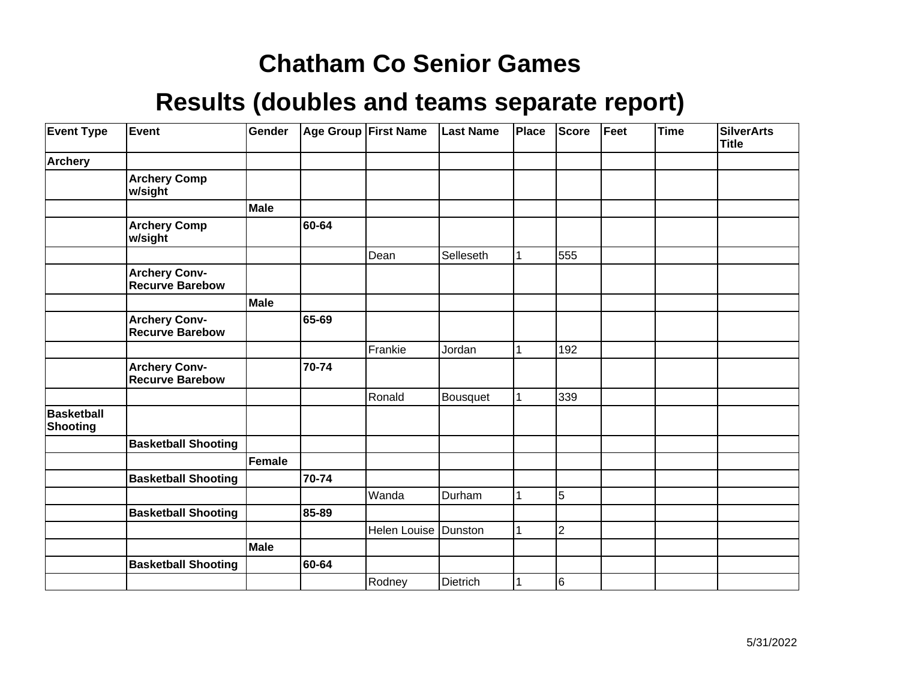| <b>Event Type</b>                    | Event                                          | Gender      |       | Age Group First Name | <b>Last Name</b> | Place | <b>Score</b>   | Feet | <b>Time</b> | <b>SilverArts</b><br><b>Title</b> |
|--------------------------------------|------------------------------------------------|-------------|-------|----------------------|------------------|-------|----------------|------|-------------|-----------------------------------|
| <b>Archery</b>                       |                                                |             |       |                      |                  |       |                |      |             |                                   |
|                                      | <b>Archery Comp</b><br>w/sight                 |             |       |                      |                  |       |                |      |             |                                   |
|                                      |                                                | Male        |       |                      |                  |       |                |      |             |                                   |
|                                      | <b>Archery Comp</b><br>w/sight                 |             | 60-64 |                      |                  |       |                |      |             |                                   |
|                                      |                                                |             |       | Dean                 | Selleseth        |       | 555            |      |             |                                   |
|                                      | <b>Archery Conv-</b><br><b>Recurve Barebow</b> |             |       |                      |                  |       |                |      |             |                                   |
|                                      |                                                | <b>Male</b> |       |                      |                  |       |                |      |             |                                   |
|                                      | <b>Archery Conv-</b><br>Recurve Barebow        |             | 65-69 |                      |                  |       |                |      |             |                                   |
|                                      |                                                |             |       | Frankie              | Jordan           |       | 192            |      |             |                                   |
|                                      | <b>Archery Conv-</b><br><b>Recurve Barebow</b> |             | 70-74 |                      |                  |       |                |      |             |                                   |
|                                      |                                                |             |       | Ronald               | Bousquet         |       | 339            |      |             |                                   |
| <b>Basketball</b><br><b>Shooting</b> |                                                |             |       |                      |                  |       |                |      |             |                                   |
|                                      | <b>Basketball Shooting</b>                     |             |       |                      |                  |       |                |      |             |                                   |
|                                      |                                                | Female      |       |                      |                  |       |                |      |             |                                   |
|                                      | <b>Basketball Shooting</b>                     |             | 70-74 |                      |                  |       |                |      |             |                                   |
|                                      |                                                |             |       | Wanda                | Durham           |       | 5              |      |             |                                   |
|                                      | <b>Basketball Shooting</b>                     |             | 85-89 |                      |                  |       |                |      |             |                                   |
|                                      |                                                |             |       | Helen Louise         | Dunston          |       | $\overline{2}$ |      |             |                                   |
|                                      |                                                | <b>Male</b> |       |                      |                  |       |                |      |             |                                   |
|                                      | <b>Basketball Shooting</b>                     |             | 60-64 |                      |                  |       |                |      |             |                                   |
|                                      |                                                |             |       | Rodney               | <b>Dietrich</b>  |       | 6              |      |             |                                   |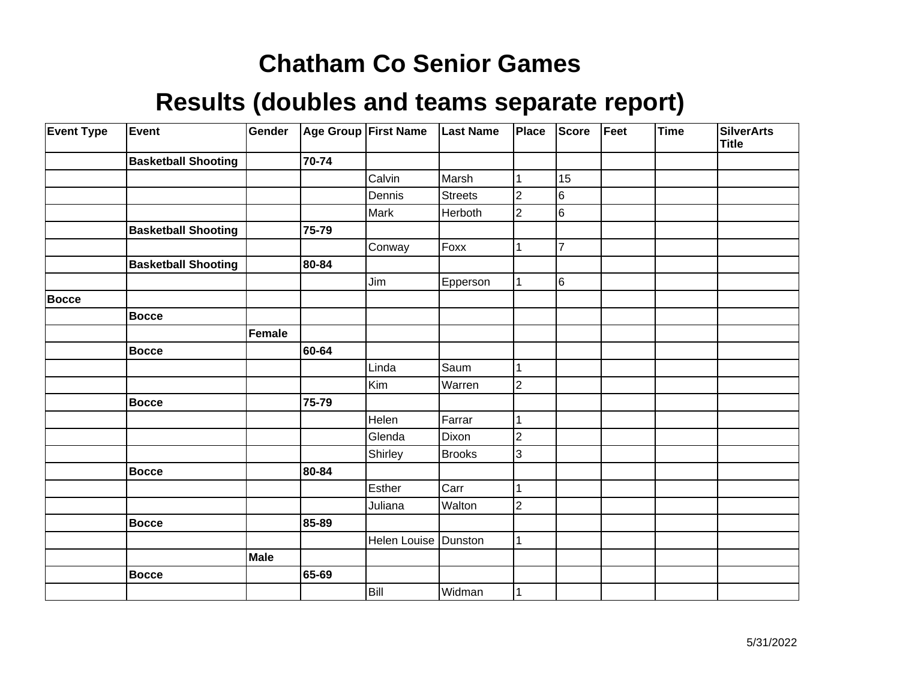| <b>Event Type</b> | Event                      | Gender |       | Age Group First Name | <b>Last Name</b> | Place          | <b>Score</b>   | Feet | Time | <b>SilverArts</b><br><b>Title</b> |
|-------------------|----------------------------|--------|-------|----------------------|------------------|----------------|----------------|------|------|-----------------------------------|
|                   | <b>Basketball Shooting</b> |        | 70-74 |                      |                  |                |                |      |      |                                   |
|                   |                            |        |       | Calvin               | Marsh            |                | 15             |      |      |                                   |
|                   |                            |        |       | Dennis               | Streets          | $\overline{2}$ | 6              |      |      |                                   |
|                   |                            |        |       | Mark                 | Herboth          | $\mathbf 2$    | $\overline{6}$ |      |      |                                   |
|                   | <b>Basketball Shooting</b> |        | 75-79 |                      |                  |                |                |      |      |                                   |
|                   |                            |        |       | Conway               | Foxx             |                | $\overline{7}$ |      |      |                                   |
|                   | <b>Basketball Shooting</b> |        | 80-84 |                      |                  |                |                |      |      |                                   |
|                   |                            |        |       | Jim                  | Epperson         |                | 6              |      |      |                                   |
| <b>Bocce</b>      |                            |        |       |                      |                  |                |                |      |      |                                   |
|                   | <b>Bocce</b>               |        |       |                      |                  |                |                |      |      |                                   |
|                   |                            | Female |       |                      |                  |                |                |      |      |                                   |
|                   | <b>Bocce</b>               |        | 60-64 |                      |                  |                |                |      |      |                                   |
|                   |                            |        |       | Linda                | Saum             |                |                |      |      |                                   |
|                   |                            |        |       | Kim                  | Warren           | $\overline{c}$ |                |      |      |                                   |
|                   | <b>Bocce</b>               |        | 75-79 |                      |                  |                |                |      |      |                                   |
|                   |                            |        |       | Helen                | Farrar           | 1              |                |      |      |                                   |
|                   |                            |        |       | Glenda               | Dixon            | 2              |                |      |      |                                   |
|                   |                            |        |       | Shirley              | <b>Brooks</b>    | 3              |                |      |      |                                   |
|                   | <b>Bocce</b>               |        | 80-84 |                      |                  |                |                |      |      |                                   |
|                   |                            |        |       | Esther               | Carr             |                |                |      |      |                                   |
|                   |                            |        |       | Juliana              | Walton           | $\mathbf 2$    |                |      |      |                                   |
|                   | <b>Bocce</b>               |        | 85-89 |                      |                  |                |                |      |      |                                   |
|                   |                            |        |       | Helen Louise Dunston |                  |                |                |      |      |                                   |
|                   |                            | Male   |       |                      |                  |                |                |      |      |                                   |
|                   | <b>Bocce</b>               |        | 65-69 |                      |                  |                |                |      |      |                                   |
|                   |                            |        |       | Bill                 | Widman           |                |                |      |      |                                   |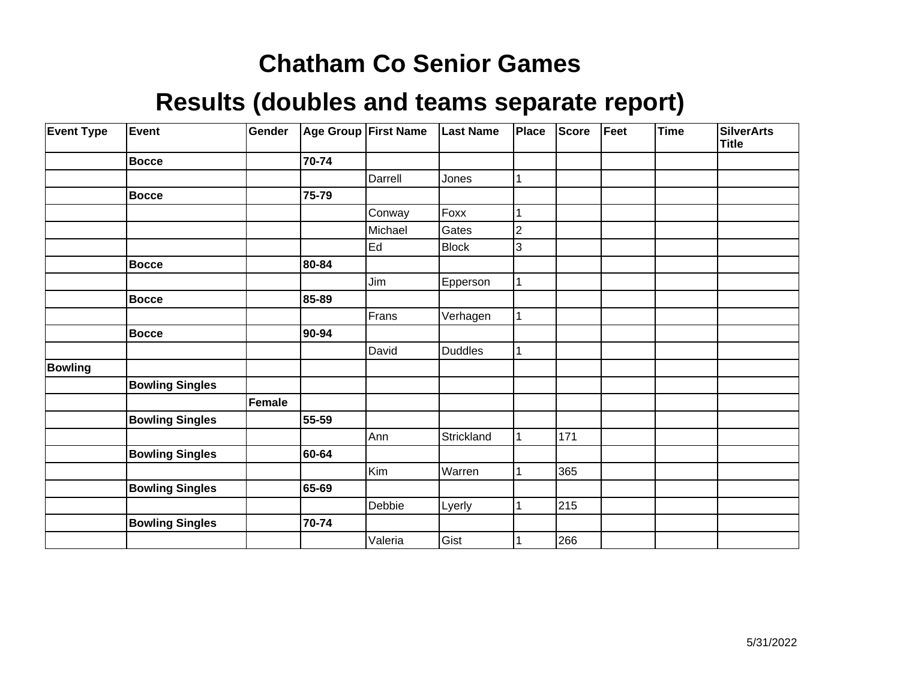| <b>Event Type</b> | Event                  | Gender |       | Age Group First Name    | <b>Last Name</b> | Place | Score | Feet | <b>Time</b> | <b>SilverArts</b><br><b>Title</b> |
|-------------------|------------------------|--------|-------|-------------------------|------------------|-------|-------|------|-------------|-----------------------------------|
|                   | <b>Bocce</b>           |        | 70-74 |                         |                  |       |       |      |             |                                   |
|                   |                        |        |       | Darrell                 | Jones            |       |       |      |             |                                   |
|                   | <b>Bocce</b>           |        | 75-79 |                         |                  |       |       |      |             |                                   |
|                   |                        |        |       | Conway                  | Foxx             |       |       |      |             |                                   |
|                   |                        |        |       | Michael                 | Gates            | 2     |       |      |             |                                   |
|                   |                        |        |       | $\operatorname{\sf Ed}$ | <b>Block</b>     | 3     |       |      |             |                                   |
|                   | <b>Bocce</b>           |        | 80-84 |                         |                  |       |       |      |             |                                   |
|                   |                        |        |       | Jim                     | Epperson         |       |       |      |             |                                   |
|                   | <b>Bocce</b>           |        | 85-89 |                         |                  |       |       |      |             |                                   |
|                   |                        |        |       | Frans                   | Verhagen         |       |       |      |             |                                   |
|                   | <b>Bocce</b>           |        | 90-94 |                         |                  |       |       |      |             |                                   |
|                   |                        |        |       | David                   | Duddles          |       |       |      |             |                                   |
| <b>Bowling</b>    |                        |        |       |                         |                  |       |       |      |             |                                   |
|                   | <b>Bowling Singles</b> |        |       |                         |                  |       |       |      |             |                                   |
|                   |                        | Female |       |                         |                  |       |       |      |             |                                   |
|                   | <b>Bowling Singles</b> |        | 55-59 |                         |                  |       |       |      |             |                                   |
|                   |                        |        |       | Ann                     | Strickland       |       | 171   |      |             |                                   |
|                   | <b>Bowling Singles</b> |        | 60-64 |                         |                  |       |       |      |             |                                   |
|                   |                        |        |       | Kim                     | Warren           |       | 365   |      |             |                                   |
|                   | <b>Bowling Singles</b> |        | 65-69 |                         |                  |       |       |      |             |                                   |
|                   |                        |        |       | Debbie                  | Lyerly           |       | 215   |      |             |                                   |
|                   | <b>Bowling Singles</b> |        | 70-74 |                         |                  |       |       |      |             |                                   |
|                   |                        |        |       | Valeria                 | Gist             |       | 266   |      |             |                                   |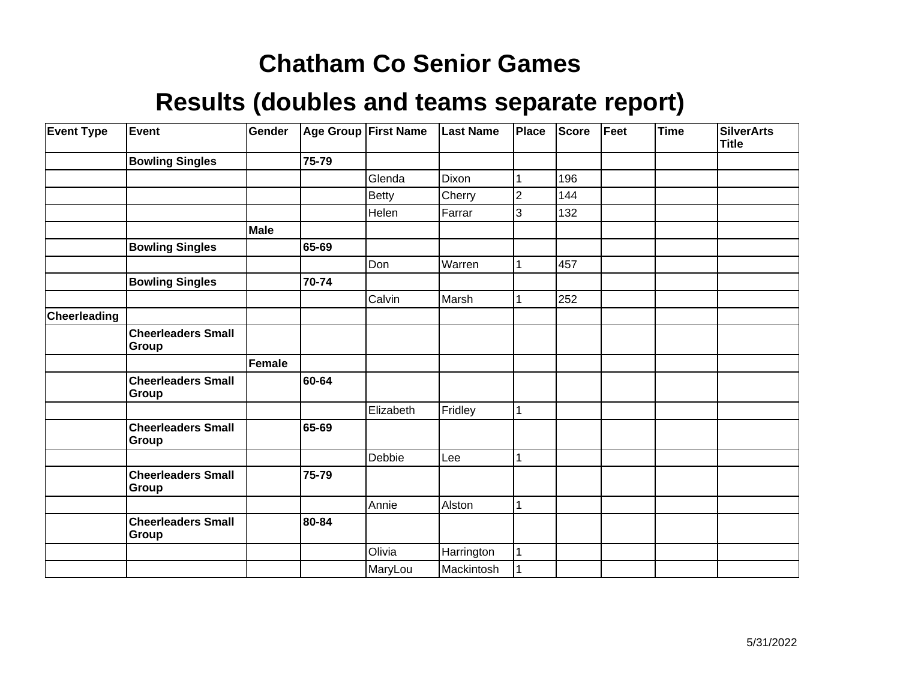| <b>Event Type</b>   | <b>Event</b>                              | Gender |       | Age Group First Name | <b>Last Name</b> | Place          | Score | Feet | <b>Time</b> | <b>SilverArts</b><br><b>Title</b> |
|---------------------|-------------------------------------------|--------|-------|----------------------|------------------|----------------|-------|------|-------------|-----------------------------------|
|                     | <b>Bowling Singles</b>                    |        | 75-79 |                      |                  |                |       |      |             |                                   |
|                     |                                           |        |       | Glenda               | Dixon            |                | 196   |      |             |                                   |
|                     |                                           |        |       | <b>Betty</b>         | Cherry           | $\overline{c}$ | 144   |      |             |                                   |
|                     |                                           |        |       | Helen                | Farrar           | 3              | 132   |      |             |                                   |
|                     |                                           | Male   |       |                      |                  |                |       |      |             |                                   |
|                     | <b>Bowling Singles</b>                    |        | 65-69 |                      |                  |                |       |      |             |                                   |
|                     |                                           |        |       | Don                  | Warren           |                | 457   |      |             |                                   |
|                     | <b>Bowling Singles</b>                    |        | 70-74 |                      |                  |                |       |      |             |                                   |
|                     |                                           |        |       | Calvin               | Marsh            |                | 252   |      |             |                                   |
| <b>Cheerleading</b> |                                           |        |       |                      |                  |                |       |      |             |                                   |
|                     | <b>Cheerleaders Small</b><br>Group        |        |       |                      |                  |                |       |      |             |                                   |
|                     |                                           | Female |       |                      |                  |                |       |      |             |                                   |
|                     | <b>Cheerleaders Small</b><br><b>Group</b> |        | 60-64 |                      |                  |                |       |      |             |                                   |
|                     |                                           |        |       | Elizabeth            | Fridley          |                |       |      |             |                                   |
|                     | <b>Cheerleaders Small</b><br>Group        |        | 65-69 |                      |                  |                |       |      |             |                                   |
|                     |                                           |        |       | Debbie               | Lee              | 1              |       |      |             |                                   |
|                     | <b>Cheerleaders Small</b><br>Group        |        | 75-79 |                      |                  |                |       |      |             |                                   |
|                     |                                           |        |       | Annie                | Alston           | 1              |       |      |             |                                   |
|                     | <b>Cheerleaders Small</b><br>Group        |        | 80-84 |                      |                  |                |       |      |             |                                   |
|                     |                                           |        |       | Olivia               | Harrington       | 1              |       |      |             |                                   |
|                     |                                           |        |       | MaryLou              | Mackintosh       |                |       |      |             |                                   |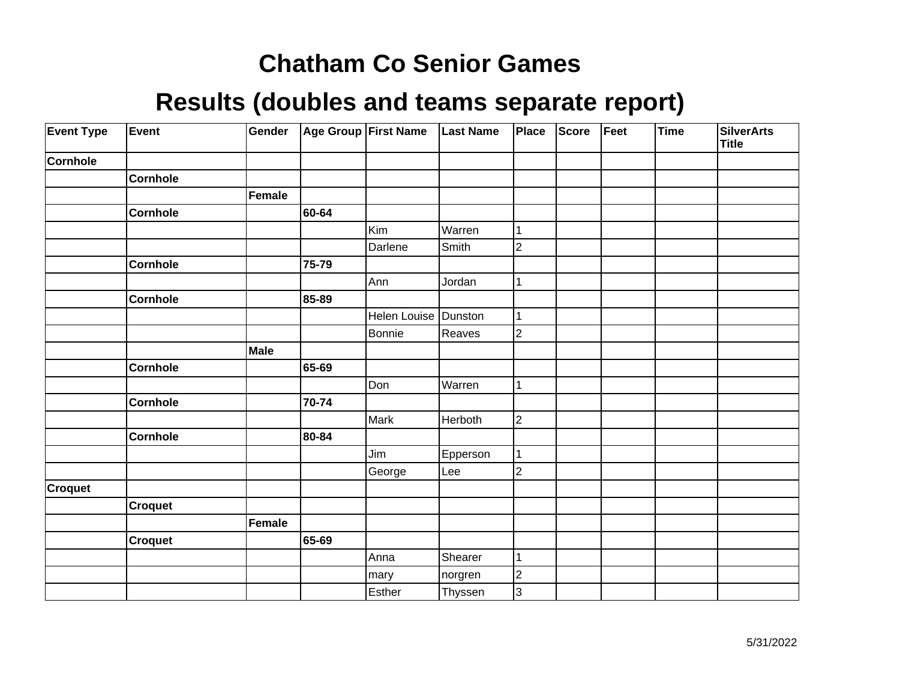| <b>Event Type</b> | Event           | Gender      |       | Age Group First Name | <b>Last Name</b> | Place          | <b>Score</b> | Feet | <b>Time</b> | <b>SilverArts</b><br><b>Title</b> |
|-------------------|-----------------|-------------|-------|----------------------|------------------|----------------|--------------|------|-------------|-----------------------------------|
| <b>Cornhole</b>   |                 |             |       |                      |                  |                |              |      |             |                                   |
|                   | <b>Cornhole</b> |             |       |                      |                  |                |              |      |             |                                   |
|                   |                 | Female      |       |                      |                  |                |              |      |             |                                   |
|                   | Cornhole        |             | 60-64 |                      |                  |                |              |      |             |                                   |
|                   |                 |             |       | Kim                  | Warren           | 1              |              |      |             |                                   |
|                   |                 |             |       | Darlene              | Smith            | $\overline{c}$ |              |      |             |                                   |
|                   | <b>Cornhole</b> |             | 75-79 |                      |                  |                |              |      |             |                                   |
|                   |                 |             |       | Ann                  | Jordan           | 1              |              |      |             |                                   |
|                   | Cornhole        |             | 85-89 |                      |                  |                |              |      |             |                                   |
|                   |                 |             |       | <b>Helen Louise</b>  | Dunston          | 1              |              |      |             |                                   |
|                   |                 |             |       | Bonnie               | Reaves           | $\overline{c}$ |              |      |             |                                   |
|                   |                 | <b>Male</b> |       |                      |                  |                |              |      |             |                                   |
|                   | <b>Cornhole</b> |             | 65-69 |                      |                  |                |              |      |             |                                   |
|                   |                 |             |       | Don                  | Warren           | 1              |              |      |             |                                   |
|                   | <b>Cornhole</b> |             | 70-74 |                      |                  |                |              |      |             |                                   |
|                   |                 |             |       | Mark                 | Herboth          | $\overline{2}$ |              |      |             |                                   |
|                   | Cornhole        |             | 80-84 |                      |                  |                |              |      |             |                                   |
|                   |                 |             |       | Jim                  | Epperson         | 1              |              |      |             |                                   |
|                   |                 |             |       | George               | Lee              | $\overline{2}$ |              |      |             |                                   |
| <b>Croquet</b>    |                 |             |       |                      |                  |                |              |      |             |                                   |
|                   | <b>Croquet</b>  |             |       |                      |                  |                |              |      |             |                                   |
|                   |                 | Female      |       |                      |                  |                |              |      |             |                                   |
|                   | <b>Croquet</b>  |             | 65-69 |                      |                  |                |              |      |             |                                   |
|                   |                 |             |       | Anna                 | Shearer          | 1              |              |      |             |                                   |
|                   |                 |             |       | mary                 | norgren          | $\overline{c}$ |              |      |             |                                   |
|                   |                 |             |       | Esther               | Thyssen          | 3              |              |      |             |                                   |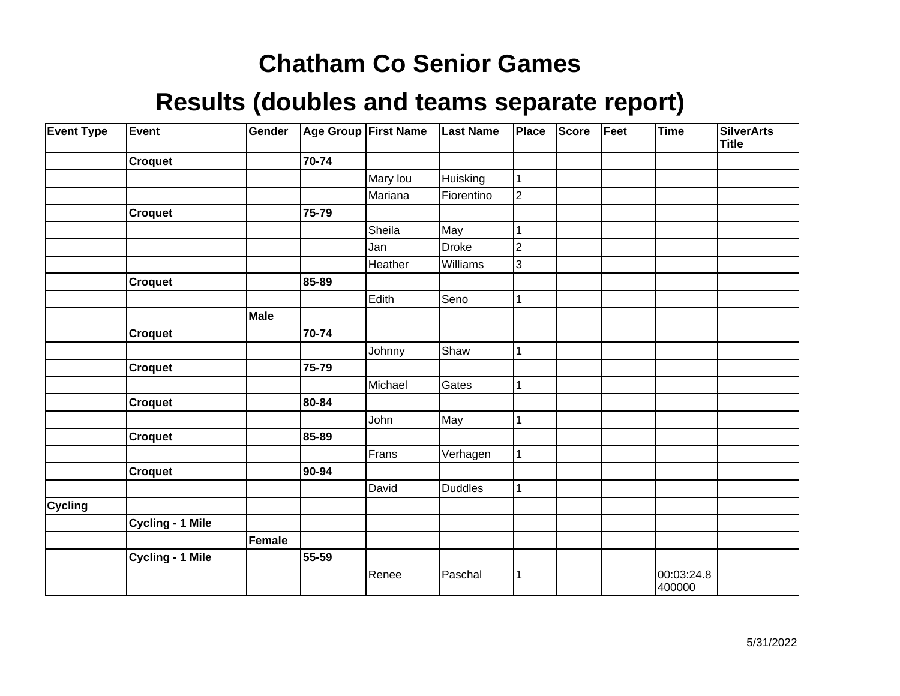| <b>Event Type</b> | Event                   | Gender |       | Age Group First Name | <b>Last Name</b> | Place          | Score | Feet | <b>Time</b>          | <b>SilverArts</b><br><b>Title</b> |
|-------------------|-------------------------|--------|-------|----------------------|------------------|----------------|-------|------|----------------------|-----------------------------------|
|                   | <b>Croquet</b>          |        | 70-74 |                      |                  |                |       |      |                      |                                   |
|                   |                         |        |       | Mary lou             | Huisking         |                |       |      |                      |                                   |
|                   |                         |        |       | Mariana              | Fiorentino       | $\overline{2}$ |       |      |                      |                                   |
|                   | <b>Croquet</b>          |        | 75-79 |                      |                  |                |       |      |                      |                                   |
|                   |                         |        |       | Sheila               | May              |                |       |      |                      |                                   |
|                   |                         |        |       | Jan                  | <b>Droke</b>     | 2              |       |      |                      |                                   |
|                   |                         |        |       | Heather              | Williams         | 3              |       |      |                      |                                   |
|                   | <b>Croquet</b>          |        | 85-89 |                      |                  |                |       |      |                      |                                   |
|                   |                         |        |       | Edith                | Seno             |                |       |      |                      |                                   |
|                   |                         | Male   |       |                      |                  |                |       |      |                      |                                   |
|                   | <b>Croquet</b>          |        | 70-74 |                      |                  |                |       |      |                      |                                   |
|                   |                         |        |       | Johnny               | Shaw             | 1              |       |      |                      |                                   |
|                   | <b>Croquet</b>          |        | 75-79 |                      |                  |                |       |      |                      |                                   |
|                   |                         |        |       | Michael              | Gates            |                |       |      |                      |                                   |
|                   | <b>Croquet</b>          |        | 80-84 |                      |                  |                |       |      |                      |                                   |
|                   |                         |        |       | John                 | May              |                |       |      |                      |                                   |
|                   | <b>Croquet</b>          |        | 85-89 |                      |                  |                |       |      |                      |                                   |
|                   |                         |        |       | Frans                | Verhagen         | 1              |       |      |                      |                                   |
|                   | <b>Croquet</b>          |        | 90-94 |                      |                  |                |       |      |                      |                                   |
|                   |                         |        |       | David                | Duddles          |                |       |      |                      |                                   |
| <b>Cycling</b>    |                         |        |       |                      |                  |                |       |      |                      |                                   |
|                   | <b>Cycling - 1 Mile</b> |        |       |                      |                  |                |       |      |                      |                                   |
|                   |                         | Female |       |                      |                  |                |       |      |                      |                                   |
|                   | <b>Cycling - 1 Mile</b> |        | 55-59 |                      |                  |                |       |      |                      |                                   |
|                   |                         |        |       | Renee                | Paschal          |                |       |      | 00:03:24.8<br>400000 |                                   |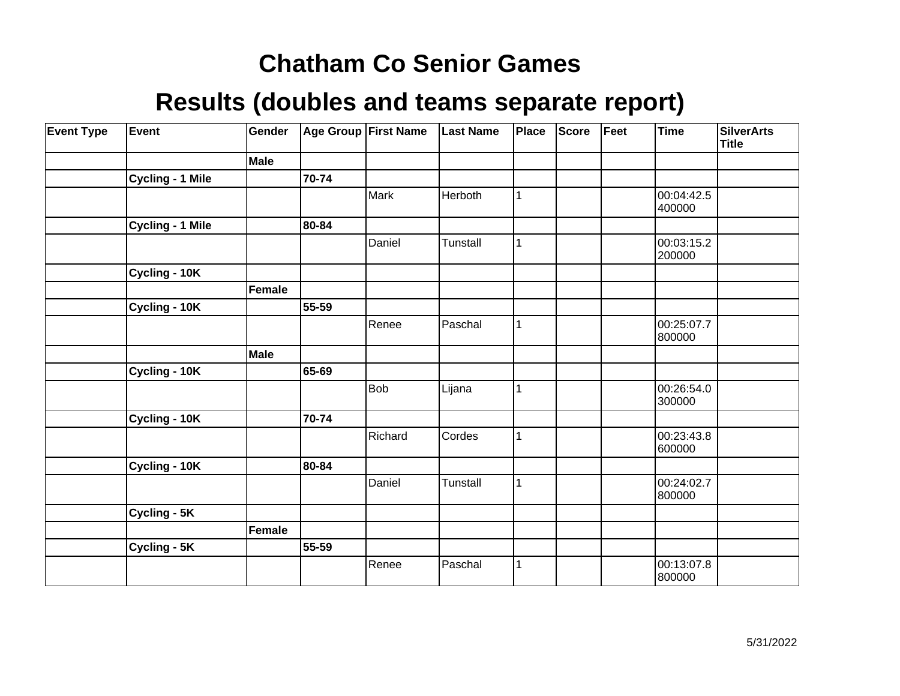| <b>Event Type</b> | Event                   | Gender |       | Age Group First Name | <b>Last Name</b> | <b>Place</b> | <b>Score</b> | Feet | <b>Time</b>          | <b>SilverArts</b><br><b>Title</b> |
|-------------------|-------------------------|--------|-------|----------------------|------------------|--------------|--------------|------|----------------------|-----------------------------------|
|                   |                         | Male   |       |                      |                  |              |              |      |                      |                                   |
|                   | <b>Cycling - 1 Mile</b> |        | 70-74 |                      |                  |              |              |      |                      |                                   |
|                   |                         |        |       | Mark                 | Herboth          |              |              |      | 00:04:42.5<br>400000 |                                   |
|                   | <b>Cycling - 1 Mile</b> |        | 80-84 |                      |                  |              |              |      |                      |                                   |
|                   |                         |        |       | Daniel               | Tunstall         |              |              |      | 00:03:15.2<br>200000 |                                   |
|                   | Cycling - 10K           |        |       |                      |                  |              |              |      |                      |                                   |
|                   |                         | Female |       |                      |                  |              |              |      |                      |                                   |
|                   | Cycling - 10K           |        | 55-59 |                      |                  |              |              |      |                      |                                   |
|                   |                         |        |       | Renee                | Paschal          | 1            |              |      | 00:25:07.7<br>800000 |                                   |
|                   |                         | Male   |       |                      |                  |              |              |      |                      |                                   |
|                   | Cycling - 10K           |        | 65-69 |                      |                  |              |              |      |                      |                                   |
|                   |                         |        |       | <b>Bob</b>           | Lijana           |              |              |      | 00:26:54.0<br>300000 |                                   |
|                   | Cycling - 10K           |        | 70-74 |                      |                  |              |              |      |                      |                                   |
|                   |                         |        |       | Richard              | Cordes           | 1            |              |      | 00:23:43.8<br>600000 |                                   |
|                   | Cycling - 10K           |        | 80-84 |                      |                  |              |              |      |                      |                                   |
|                   |                         |        |       | Daniel               | Tunstall         | 1            |              |      | 00:24:02.7<br>800000 |                                   |
|                   | Cycling - 5K            |        |       |                      |                  |              |              |      |                      |                                   |
|                   |                         | Female |       |                      |                  |              |              |      |                      |                                   |
|                   | Cycling - 5K            |        | 55-59 |                      |                  |              |              |      |                      |                                   |
|                   |                         |        |       | Renee                | Paschal          |              |              |      | 00:13:07.8<br>800000 |                                   |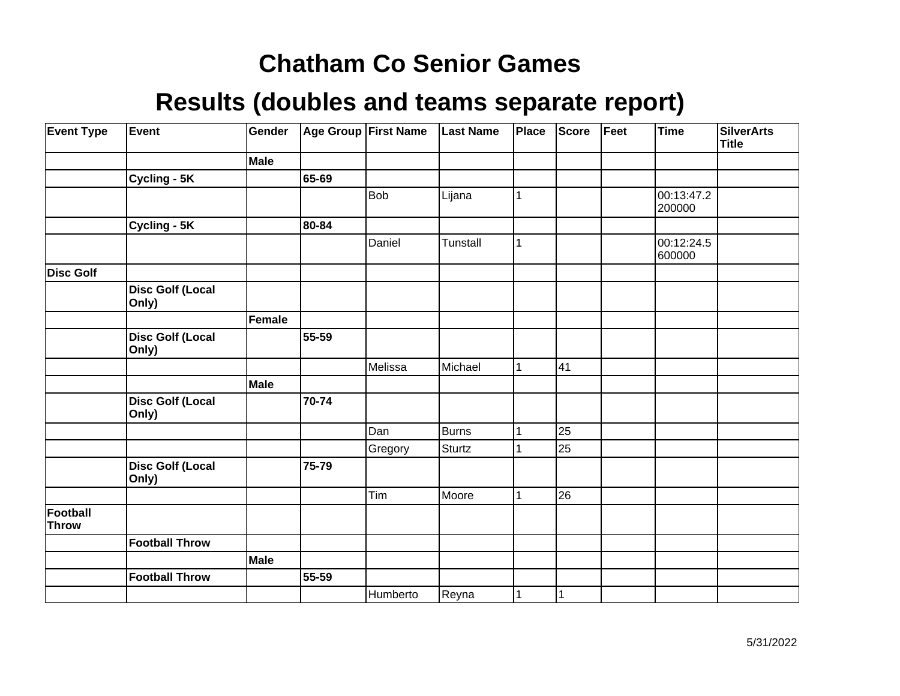| <b>Event Type</b> | Event                            | Gender      |       | Age Group First Name | <b>Last Name</b> | Place        | <b>Score</b> | Feet | Time                 | <b>SilverArts</b><br><b>Title</b> |
|-------------------|----------------------------------|-------------|-------|----------------------|------------------|--------------|--------------|------|----------------------|-----------------------------------|
|                   |                                  | Male        |       |                      |                  |              |              |      |                      |                                   |
|                   | Cycling - 5K                     |             | 65-69 |                      |                  |              |              |      |                      |                                   |
|                   |                                  |             |       | Bob                  | Lijana           | 1            |              |      | 00:13:47.2<br>200000 |                                   |
|                   | Cycling - 5K                     |             | 80-84 |                      |                  |              |              |      |                      |                                   |
|                   |                                  |             |       | Daniel               | Tunstall         | 1            |              |      | 00:12:24.5<br>600000 |                                   |
| <b>Disc Golf</b>  |                                  |             |       |                      |                  |              |              |      |                      |                                   |
|                   | <b>Disc Golf (Local</b><br>Only) |             |       |                      |                  |              |              |      |                      |                                   |
|                   |                                  | Female      |       |                      |                  |              |              |      |                      |                                   |
|                   | <b>Disc Golf (Local</b><br>Only) |             | 55-59 |                      |                  |              |              |      |                      |                                   |
|                   |                                  |             |       | Melissa              | Michael          | $\mathbf{1}$ | 41           |      |                      |                                   |
|                   |                                  | <b>Male</b> |       |                      |                  |              |              |      |                      |                                   |
|                   | <b>Disc Golf (Local</b><br>Only) |             | 70-74 |                      |                  |              |              |      |                      |                                   |
|                   |                                  |             |       | Dan                  | Burns            | $\mathbf{1}$ | 25           |      |                      |                                   |
|                   |                                  |             |       | Gregory              | Sturtz           |              | 25           |      |                      |                                   |
|                   | <b>Disc Golf (Local</b><br>Only) |             | 75-79 |                      |                  |              |              |      |                      |                                   |
|                   |                                  |             |       | Tim                  | Moore            | $\mathbf{1}$ | 26           |      |                      |                                   |
| Football<br>Throw |                                  |             |       |                      |                  |              |              |      |                      |                                   |
|                   | <b>Football Throw</b>            |             |       |                      |                  |              |              |      |                      |                                   |
|                   |                                  | <b>Male</b> |       |                      |                  |              |              |      |                      |                                   |
|                   | <b>Football Throw</b>            |             | 55-59 |                      |                  |              |              |      |                      |                                   |
|                   |                                  |             |       | Humberto             | Reyna            | 1            | 1            |      |                      |                                   |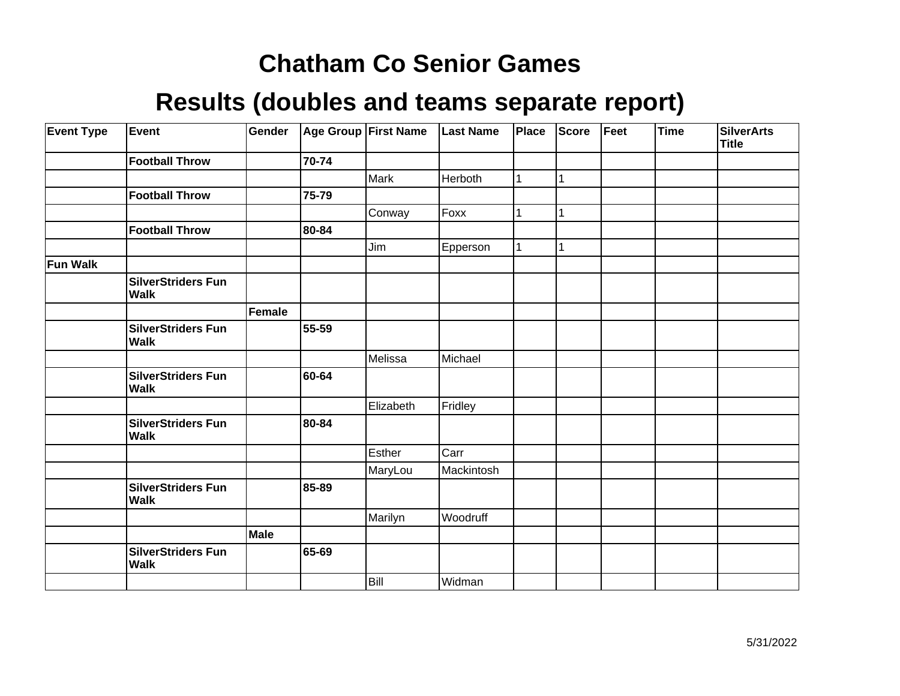| <b>Event Type</b> | <b>Event</b>                             | Gender        |       | Age Group First Name | <b>Last Name</b> | <b>Place</b> | Score | Feet | <b>Time</b> | <b>SilverArts</b><br><b>Title</b> |
|-------------------|------------------------------------------|---------------|-------|----------------------|------------------|--------------|-------|------|-------------|-----------------------------------|
|                   | <b>Football Throw</b>                    |               | 70-74 |                      |                  |              |       |      |             |                                   |
|                   |                                          |               |       | Mark                 | Herboth          |              | 1     |      |             |                                   |
|                   | <b>Football Throw</b>                    |               | 75-79 |                      |                  |              |       |      |             |                                   |
|                   |                                          |               |       | Conway               | Foxx             |              |       |      |             |                                   |
|                   | <b>Football Throw</b>                    |               | 80-84 |                      |                  |              |       |      |             |                                   |
|                   |                                          |               |       | Jim                  | Epperson         |              |       |      |             |                                   |
| <b>Fun Walk</b>   |                                          |               |       |                      |                  |              |       |      |             |                                   |
|                   | <b>SilverStriders Fun</b><br><b>Walk</b> |               |       |                      |                  |              |       |      |             |                                   |
|                   |                                          | <b>Female</b> |       |                      |                  |              |       |      |             |                                   |
|                   | <b>SilverStriders Fun</b><br><b>Walk</b> |               | 55-59 |                      |                  |              |       |      |             |                                   |
|                   |                                          |               |       | Melissa              | Michael          |              |       |      |             |                                   |
|                   | <b>SilverStriders Fun</b><br>Walk        |               | 60-64 |                      |                  |              |       |      |             |                                   |
|                   |                                          |               |       | Elizabeth            | Fridley          |              |       |      |             |                                   |
|                   | <b>SilverStriders Fun</b><br><b>Walk</b> |               | 80-84 |                      |                  |              |       |      |             |                                   |
|                   |                                          |               |       | Esther               | Carr             |              |       |      |             |                                   |
|                   |                                          |               |       | MaryLou              | Mackintosh       |              |       |      |             |                                   |
|                   | <b>SilverStriders Fun</b><br><b>Walk</b> |               | 85-89 |                      |                  |              |       |      |             |                                   |
|                   |                                          |               |       | Marilyn              | Woodruff         |              |       |      |             |                                   |
|                   |                                          | Male          |       |                      |                  |              |       |      |             |                                   |
|                   | <b>SilverStriders Fun</b><br><b>Walk</b> |               | 65-69 |                      |                  |              |       |      |             |                                   |
|                   |                                          |               |       | Bill                 | Widman           |              |       |      |             |                                   |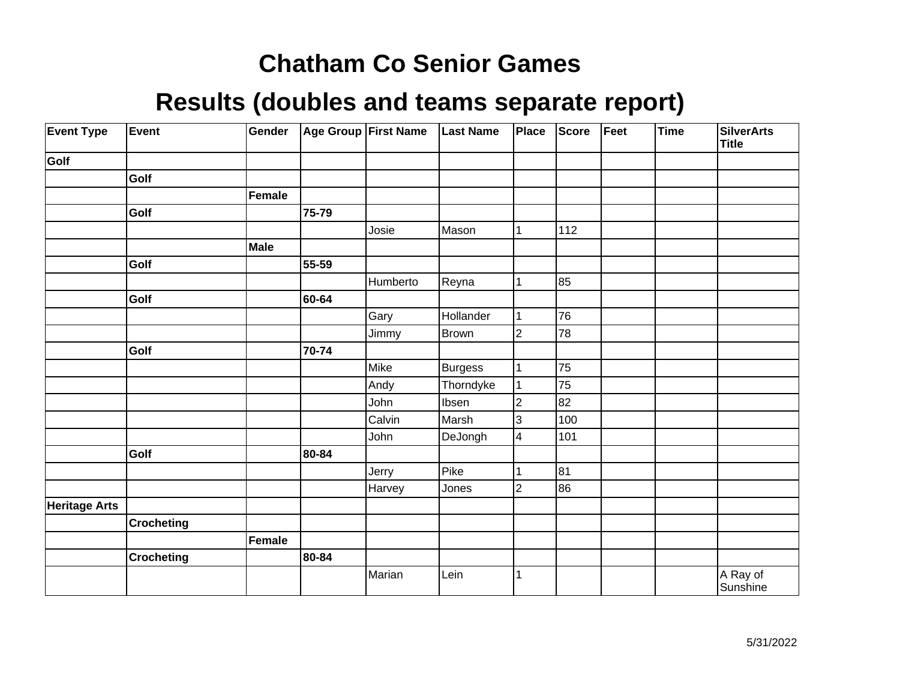| <b>Event Type</b>    | Event             | Gender |       | Age Group First Name | <b>Last Name</b> | Place                   | Score | Feet | Time | <b>SilverArts</b><br><b>Title</b> |
|----------------------|-------------------|--------|-------|----------------------|------------------|-------------------------|-------|------|------|-----------------------------------|
| Golf                 |                   |        |       |                      |                  |                         |       |      |      |                                   |
|                      | Golf              |        |       |                      |                  |                         |       |      |      |                                   |
|                      |                   | Female |       |                      |                  |                         |       |      |      |                                   |
|                      | Golf              |        | 75-79 |                      |                  |                         |       |      |      |                                   |
|                      |                   |        |       | Josie                | Mason            | 1                       | 112   |      |      |                                   |
|                      |                   | Male   |       |                      |                  |                         |       |      |      |                                   |
|                      | Golf              |        | 55-59 |                      |                  |                         |       |      |      |                                   |
|                      |                   |        |       | Humberto             | Reyna            |                         | 85    |      |      |                                   |
|                      | Golf              |        | 60-64 |                      |                  |                         |       |      |      |                                   |
|                      |                   |        |       | Gary                 | Hollander        | 1                       | 76    |      |      |                                   |
|                      |                   |        |       | Jimmy                | Brown            | $\overline{c}$          | 78    |      |      |                                   |
|                      | Golf              |        | 70-74 |                      |                  |                         |       |      |      |                                   |
|                      |                   |        |       | Mike                 | Burgess          |                         | 75    |      |      |                                   |
|                      |                   |        |       | Andy                 | Thorndyke        |                         | 75    |      |      |                                   |
|                      |                   |        |       | John                 | Ibsen            | $\overline{2}$          | 82    |      |      |                                   |
|                      |                   |        |       | Calvin               | Marsh            | 3                       | 100   |      |      |                                   |
|                      |                   |        |       | John                 | DeJongh          | $\overline{\mathbf{4}}$ | 101   |      |      |                                   |
|                      | Golf              |        | 80-84 |                      |                  |                         |       |      |      |                                   |
|                      |                   |        |       | Jerry                | Pike             |                         | 81    |      |      |                                   |
|                      |                   |        |       | Harvey               | Jones            | $\overline{c}$          | 86    |      |      |                                   |
| <b>Heritage Arts</b> |                   |        |       |                      |                  |                         |       |      |      |                                   |
|                      | <b>Crocheting</b> |        |       |                      |                  |                         |       |      |      |                                   |
|                      |                   | Female |       |                      |                  |                         |       |      |      |                                   |
|                      | <b>Crocheting</b> |        | 80-84 |                      |                  |                         |       |      |      |                                   |
|                      |                   |        |       | Marian               | Lein             |                         |       |      |      | A Ray of<br>Sunshine              |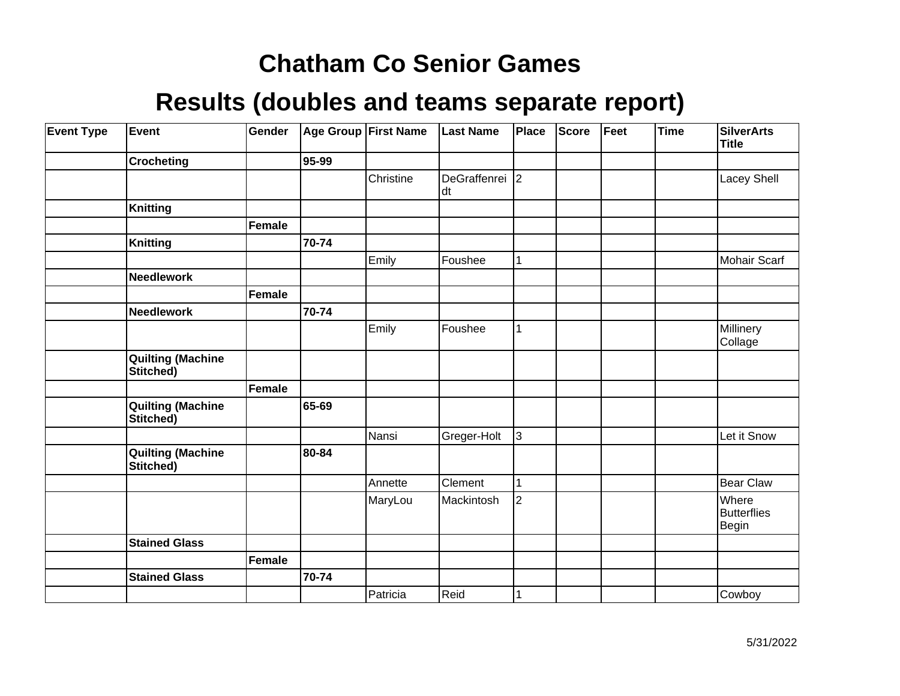| <b>Event Type</b> | Event                                 | Gender |       | Age Group First Name | <b>Last Name</b>     | Place        | Score | Feet | <b>Time</b> | <b>SilverArts</b><br><b>Title</b>    |
|-------------------|---------------------------------------|--------|-------|----------------------|----------------------|--------------|-------|------|-------------|--------------------------------------|
|                   | <b>Crocheting</b>                     |        | 95-99 |                      |                      |              |       |      |             |                                      |
|                   |                                       |        |       | Christine            | DeGraffenrei 2<br>dt |              |       |      |             | Lacey Shell                          |
|                   | Knitting                              |        |       |                      |                      |              |       |      |             |                                      |
|                   |                                       | Female |       |                      |                      |              |       |      |             |                                      |
|                   | <b>Knitting</b>                       |        | 70-74 |                      |                      |              |       |      |             |                                      |
|                   |                                       |        |       | Emily                | Foushee              | 1            |       |      |             | <b>Mohair Scarf</b>                  |
|                   | <b>Needlework</b>                     |        |       |                      |                      |              |       |      |             |                                      |
|                   |                                       | Female |       |                      |                      |              |       |      |             |                                      |
|                   | <b>Needlework</b>                     |        | 70-74 |                      |                      |              |       |      |             |                                      |
|                   |                                       |        |       | Emily                | Foushee              | 1            |       |      |             | Millinery<br>Collage                 |
|                   | <b>Quilting (Machine</b><br>Stitched) |        |       |                      |                      |              |       |      |             |                                      |
|                   |                                       | Female |       |                      |                      |              |       |      |             |                                      |
|                   | <b>Quilting (Machine</b><br>Stitched) |        | 65-69 |                      |                      |              |       |      |             |                                      |
|                   |                                       |        |       | Nansi                | Greger-Holt          | 3            |       |      |             | Let it Snow                          |
|                   | <b>Quilting (Machine</b><br>Stitched) |        | 80-84 |                      |                      |              |       |      |             |                                      |
|                   |                                       |        |       | Annette              | Clement              | $\mathbf{1}$ |       |      |             | <b>Bear Claw</b>                     |
|                   |                                       |        |       | MaryLou              | Mackintosh           | 2            |       |      |             | Where<br><b>Butterflies</b><br>Begin |
|                   | <b>Stained Glass</b>                  |        |       |                      |                      |              |       |      |             |                                      |
|                   |                                       | Female |       |                      |                      |              |       |      |             |                                      |
|                   | <b>Stained Glass</b>                  |        | 70-74 |                      |                      |              |       |      |             |                                      |
|                   |                                       |        |       | Patricia             | Reid                 | 1            |       |      |             | Cowboy                               |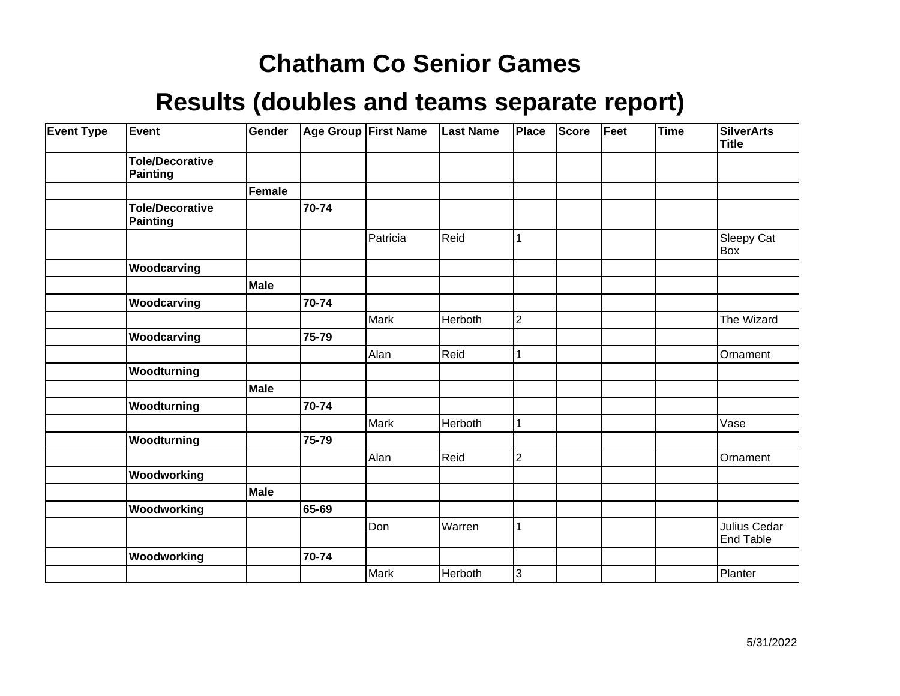| <b>Event Type</b> | Event                                     | Gender        |       | <b>Age Group First Name</b> | <b>Last Name</b> | <b>Place</b>   | <b>Score</b> | Feet | Time | <b>SilverArts</b><br><b>Title</b> |
|-------------------|-------------------------------------------|---------------|-------|-----------------------------|------------------|----------------|--------------|------|------|-----------------------------------|
|                   | <b>Tole/Decorative</b><br><b>Painting</b> |               |       |                             |                  |                |              |      |      |                                   |
|                   |                                           | <b>Female</b> |       |                             |                  |                |              |      |      |                                   |
|                   | <b>Tole/Decorative</b><br>Painting        |               | 70-74 |                             |                  |                |              |      |      |                                   |
|                   |                                           |               |       | Patricia                    | Reid             | 1              |              |      |      | Sleepy Cat<br>Box                 |
|                   | Woodcarving                               |               |       |                             |                  |                |              |      |      |                                   |
|                   |                                           | <b>Male</b>   |       |                             |                  |                |              |      |      |                                   |
|                   | Woodcarving                               |               | 70-74 |                             |                  |                |              |      |      |                                   |
|                   |                                           |               |       | Mark                        | Herboth          | $\overline{2}$ |              |      |      | The Wizard                        |
|                   | Woodcarving                               |               | 75-79 |                             |                  |                |              |      |      |                                   |
|                   |                                           |               |       | Alan                        | Reid             | 1              |              |      |      | Ornament                          |
|                   | Woodturning                               |               |       |                             |                  |                |              |      |      |                                   |
|                   |                                           | <b>Male</b>   |       |                             |                  |                |              |      |      |                                   |
|                   | Woodturning                               |               | 70-74 |                             |                  |                |              |      |      |                                   |
|                   |                                           |               |       | <b>Mark</b>                 | Herboth          | 1              |              |      |      | Vase                              |
|                   | Woodturning                               |               | 75-79 |                             |                  |                |              |      |      |                                   |
|                   |                                           |               |       | Alan                        | Reid             | $\overline{2}$ |              |      |      | Ornament                          |
|                   | Woodworking                               |               |       |                             |                  |                |              |      |      |                                   |
|                   |                                           | <b>Male</b>   |       |                             |                  |                |              |      |      |                                   |
|                   | Woodworking                               |               | 65-69 |                             |                  |                |              |      |      |                                   |
|                   |                                           |               |       | Don                         | Warren           | 1              |              |      |      | Julius Cedar<br><b>End Table</b>  |
|                   | Woodworking                               |               | 70-74 |                             |                  |                |              |      |      |                                   |
|                   |                                           |               |       | Mark                        | Herboth          | 3              |              |      |      | Planter                           |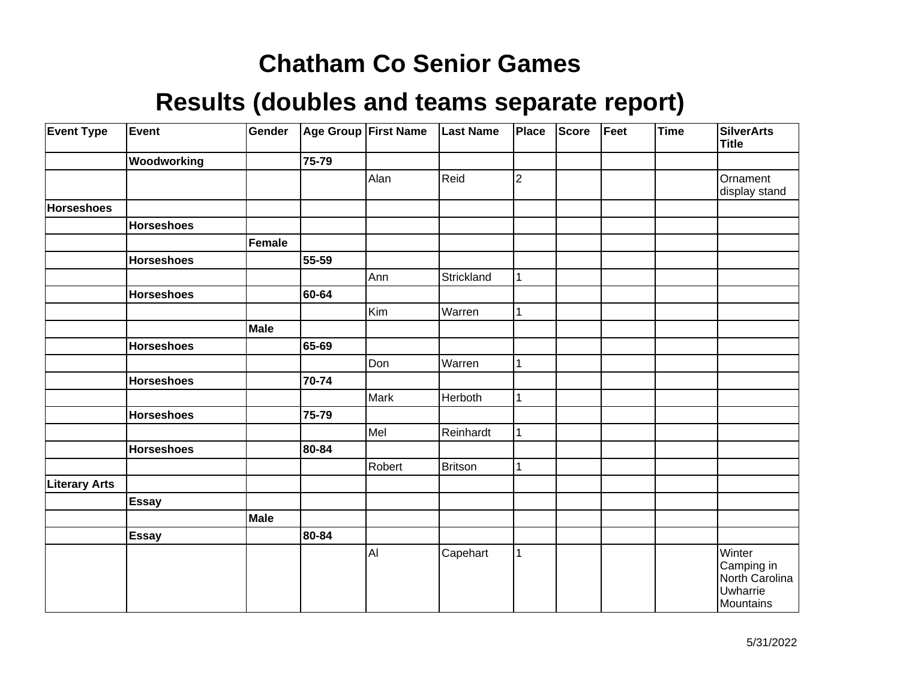| <b>Event Type</b>    | Event             | Gender      |       | Age Group First Name | <b>Last Name</b> | Place       | Score | Feet | <b>Time</b> | <b>SilverArts</b><br><b>Title</b>                               |
|----------------------|-------------------|-------------|-------|----------------------|------------------|-------------|-------|------|-------------|-----------------------------------------------------------------|
|                      | Woodworking       |             | 75-79 |                      |                  |             |       |      |             |                                                                 |
|                      |                   |             |       | Alan                 | Reid             | $\mathbf 2$ |       |      |             | Ornament<br>display stand                                       |
| <b>Horseshoes</b>    |                   |             |       |                      |                  |             |       |      |             |                                                                 |
|                      | <b>Horseshoes</b> |             |       |                      |                  |             |       |      |             |                                                                 |
|                      |                   | Female      |       |                      |                  |             |       |      |             |                                                                 |
|                      | <b>Horseshoes</b> |             | 55-59 |                      |                  |             |       |      |             |                                                                 |
|                      |                   |             |       | Ann                  | Strickland       |             |       |      |             |                                                                 |
|                      | <b>Horseshoes</b> |             | 60-64 |                      |                  |             |       |      |             |                                                                 |
|                      |                   |             |       | Kim                  | Warren           | 1           |       |      |             |                                                                 |
|                      |                   | <b>Male</b> |       |                      |                  |             |       |      |             |                                                                 |
|                      | <b>Horseshoes</b> |             | 65-69 |                      |                  |             |       |      |             |                                                                 |
|                      |                   |             |       | Don                  | Warren           |             |       |      |             |                                                                 |
|                      | <b>Horseshoes</b> |             | 70-74 |                      |                  |             |       |      |             |                                                                 |
|                      |                   |             |       | Mark                 | Herboth          | 1           |       |      |             |                                                                 |
|                      | <b>Horseshoes</b> |             | 75-79 |                      |                  |             |       |      |             |                                                                 |
|                      |                   |             |       | Mel                  | Reinhardt        |             |       |      |             |                                                                 |
|                      | <b>Horseshoes</b> |             | 80-84 |                      |                  |             |       |      |             |                                                                 |
|                      |                   |             |       | Robert               | Britson          |             |       |      |             |                                                                 |
| <b>Literary Arts</b> |                   |             |       |                      |                  |             |       |      |             |                                                                 |
|                      | <b>Essay</b>      |             |       |                      |                  |             |       |      |             |                                                                 |
|                      |                   | Male        |       |                      |                  |             |       |      |             |                                                                 |
|                      | Essay             |             | 80-84 |                      |                  |             |       |      |             |                                                                 |
|                      |                   |             |       | AI                   | Capehart         | 1           |       |      |             | Winter<br>Camping in<br>North Carolina<br>Uwharrie<br>Mountains |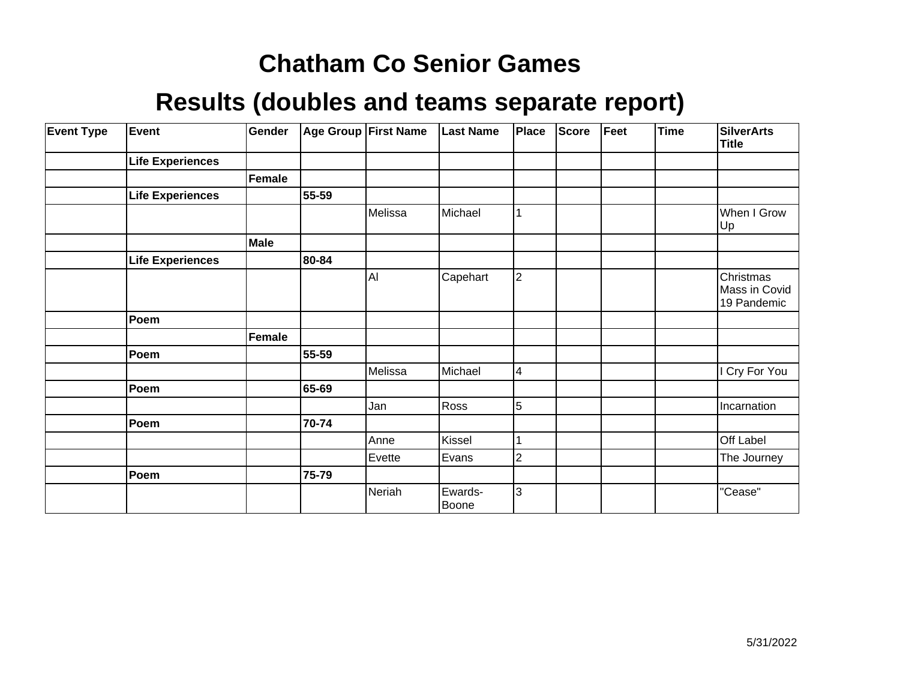| <b>Event Type</b> | <b>Event</b>            | Gender |       | Age Group   First Name | <b>Last Name</b> | Place          | Score | Feet | <b>Time</b> | <b>SilverArts</b><br><b>Title</b>         |
|-------------------|-------------------------|--------|-------|------------------------|------------------|----------------|-------|------|-------------|-------------------------------------------|
|                   | <b>Life Experiences</b> |        |       |                        |                  |                |       |      |             |                                           |
|                   |                         | Female |       |                        |                  |                |       |      |             |                                           |
|                   | <b>Life Experiences</b> |        | 55-59 |                        |                  |                |       |      |             |                                           |
|                   |                         |        |       | Melissa                | Michael          |                |       |      |             | When I Grow<br>Up]                        |
|                   |                         | Male   |       |                        |                  |                |       |      |             |                                           |
|                   | <b>Life Experiences</b> |        | 80-84 |                        |                  |                |       |      |             |                                           |
|                   |                         |        |       | Al                     | Capehart         | $ 2\rangle$    |       |      |             | Christmas<br>Mass in Covid<br>19 Pandemic |
|                   | Poem                    |        |       |                        |                  |                |       |      |             |                                           |
|                   |                         | Female |       |                        |                  |                |       |      |             |                                           |
|                   | Poem                    |        | 55-59 |                        |                  |                |       |      |             |                                           |
|                   |                         |        |       | Melissa                | Michael          | 4              |       |      |             | I Cry For You                             |
|                   | Poem                    |        | 65-69 |                        |                  |                |       |      |             |                                           |
|                   |                         |        |       | Jan                    | Ross             | 5              |       |      |             | Incarnation                               |
|                   | Poem                    |        | 70-74 |                        |                  |                |       |      |             |                                           |
|                   |                         |        |       | Anne                   | Kissel           |                |       |      |             | Off Label                                 |
|                   |                         |        |       | Evette                 | Evans            | $\overline{c}$ |       |      |             | The Journey                               |
|                   | Poem                    |        | 75-79 |                        |                  |                |       |      |             |                                           |
|                   |                         |        |       | Neriah                 | Ewards-<br>Boone | 3              |       |      |             | "Cease"                                   |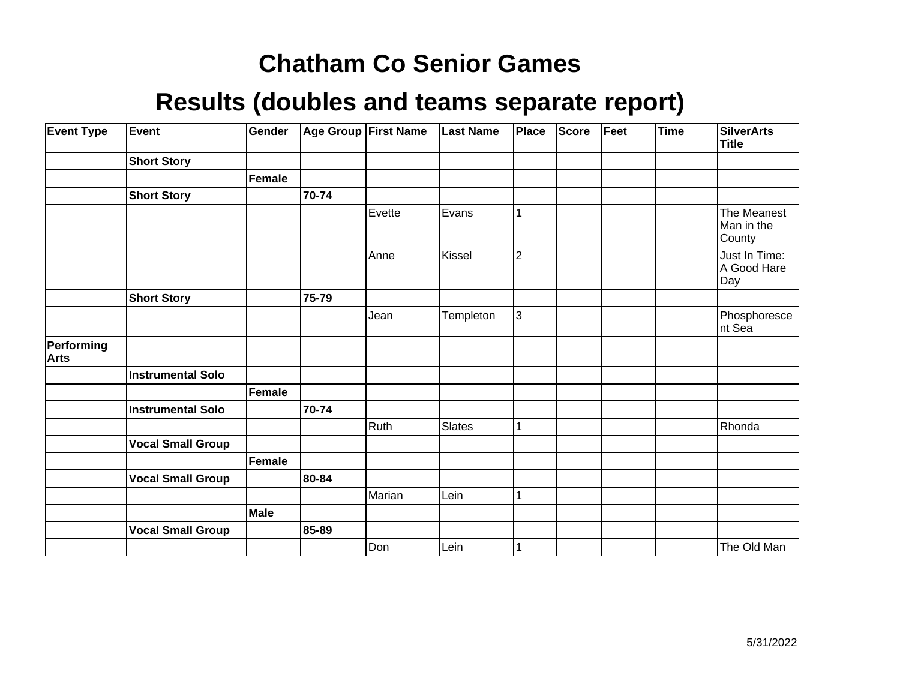| <b>Event Type</b>         | Event                    | Gender        |       | Age Group First Name | <b>Last Name</b> | Place          | <b>Score</b> | Feet | <b>Time</b> | <b>SilverArts</b><br><b>Title</b>   |
|---------------------------|--------------------------|---------------|-------|----------------------|------------------|----------------|--------------|------|-------------|-------------------------------------|
|                           | <b>Short Story</b>       |               |       |                      |                  |                |              |      |             |                                     |
|                           |                          | <b>Female</b> |       |                      |                  |                |              |      |             |                                     |
|                           | <b>Short Story</b>       |               | 70-74 |                      |                  |                |              |      |             |                                     |
|                           |                          |               |       | Evette               | Evans            |                |              |      |             | The Meanest<br>Man in the<br>County |
|                           |                          |               |       | Anne                 | Kissel           | $\overline{2}$ |              |      |             | Just In Time:<br>A Good Hare<br>Day |
|                           | <b>Short Story</b>       |               | 75-79 |                      |                  |                |              |      |             |                                     |
|                           |                          |               |       | Jean                 | Templeton        | 3              |              |      |             | Phosphoresce<br>nt Sea              |
| Performing<br><b>Arts</b> |                          |               |       |                      |                  |                |              |      |             |                                     |
|                           | <b>Instrumental Solo</b> |               |       |                      |                  |                |              |      |             |                                     |
|                           |                          | <b>Female</b> |       |                      |                  |                |              |      |             |                                     |
|                           | <b>Instrumental Solo</b> |               | 70-74 |                      |                  |                |              |      |             |                                     |
|                           |                          |               |       | Ruth                 | Slates           |                |              |      |             | Rhonda                              |
|                           | <b>Vocal Small Group</b> |               |       |                      |                  |                |              |      |             |                                     |
|                           |                          | <b>Female</b> |       |                      |                  |                |              |      |             |                                     |
|                           | <b>Vocal Small Group</b> |               | 80-84 |                      |                  |                |              |      |             |                                     |
|                           |                          |               |       | Marian               | Lein             |                |              |      |             |                                     |
|                           |                          | Male          |       |                      |                  |                |              |      |             |                                     |
|                           | <b>Vocal Small Group</b> |               | 85-89 |                      |                  |                |              |      |             |                                     |
|                           |                          |               |       | Don                  | Lein             |                |              |      |             | The Old Man                         |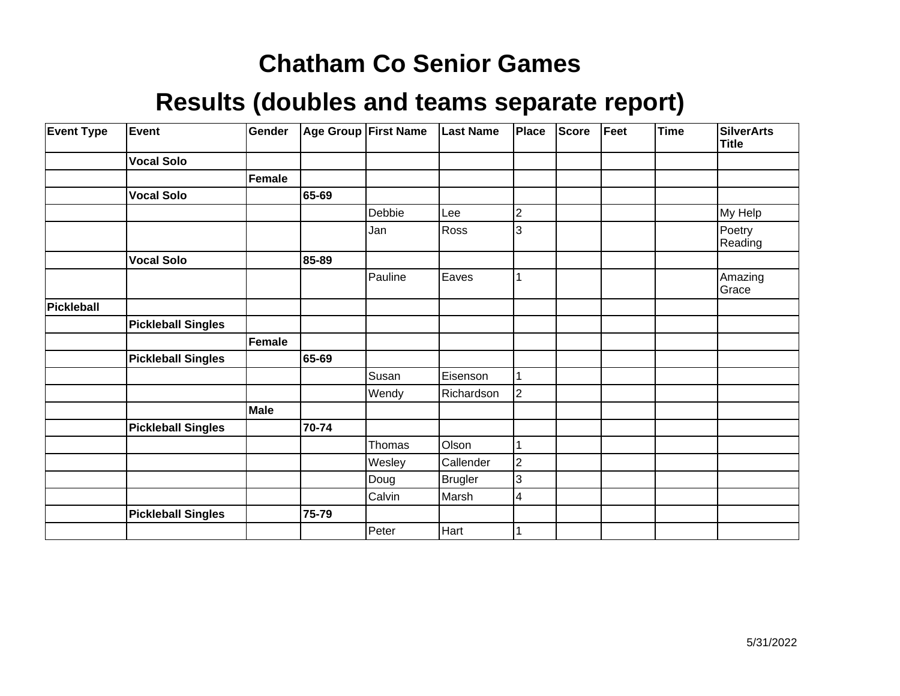| <b>Event Type</b> | Event                     | Gender      |       | Age Group First Name | <b>Last Name</b> | Place          | <b>Score</b> | Feet | <b>Time</b> | <b>SilverArts</b><br>Title |
|-------------------|---------------------------|-------------|-------|----------------------|------------------|----------------|--------------|------|-------------|----------------------------|
|                   | <b>Vocal Solo</b>         |             |       |                      |                  |                |              |      |             |                            |
|                   |                           | Female      |       |                      |                  |                |              |      |             |                            |
|                   | <b>Vocal Solo</b>         |             | 65-69 |                      |                  |                |              |      |             |                            |
|                   |                           |             |       | Debbie               | Lee              | 2              |              |      |             | My Help                    |
|                   |                           |             |       | Jan                  | Ross             | 3              |              |      |             | Poetry<br>Reading          |
|                   | <b>Vocal Solo</b>         |             | 85-89 |                      |                  |                |              |      |             |                            |
|                   |                           |             |       | Pauline              | Eaves            |                |              |      |             | Amazing<br>Grace           |
| <b>Pickleball</b> |                           |             |       |                      |                  |                |              |      |             |                            |
|                   | <b>Pickleball Singles</b> |             |       |                      |                  |                |              |      |             |                            |
|                   |                           | Female      |       |                      |                  |                |              |      |             |                            |
|                   | <b>Pickleball Singles</b> |             | 65-69 |                      |                  |                |              |      |             |                            |
|                   |                           |             |       | Susan                | Eisenson         |                |              |      |             |                            |
|                   |                           |             |       | Wendy                | Richardson       | $\overline{2}$ |              |      |             |                            |
|                   |                           | <b>Male</b> |       |                      |                  |                |              |      |             |                            |
|                   | <b>Pickleball Singles</b> |             | 70-74 |                      |                  |                |              |      |             |                            |
|                   |                           |             |       | Thomas               | Olson            |                |              |      |             |                            |
|                   |                           |             |       | Wesley               | Callender        | 2              |              |      |             |                            |
|                   |                           |             |       | Doug                 | <b>Brugler</b>   | 3              |              |      |             |                            |
|                   |                           |             |       | Calvin               | Marsh            | 4              |              |      |             |                            |
|                   | <b>Pickleball Singles</b> |             | 75-79 |                      |                  |                |              |      |             |                            |
|                   |                           |             |       | Peter                | Hart             |                |              |      |             |                            |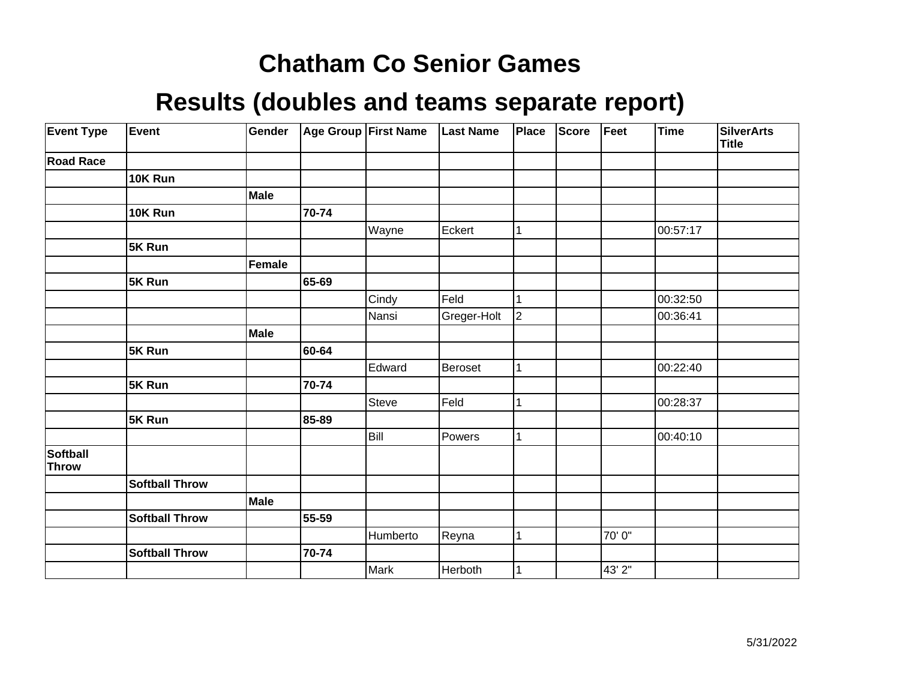| <b>Event Type</b>               | Event                 | Gender      |       | <b>Age Group First Name</b> | <b>Last Name</b> | Place        | <b>Score</b> | Feet   | Time     | <b>SilverArts</b><br><b>Title</b> |
|---------------------------------|-----------------------|-------------|-------|-----------------------------|------------------|--------------|--------------|--------|----------|-----------------------------------|
| <b>Road Race</b>                |                       |             |       |                             |                  |              |              |        |          |                                   |
|                                 | 10K Run               |             |       |                             |                  |              |              |        |          |                                   |
|                                 |                       | <b>Male</b> |       |                             |                  |              |              |        |          |                                   |
|                                 | 10K Run               |             | 70-74 |                             |                  |              |              |        |          |                                   |
|                                 |                       |             |       | Wayne                       | Eckert           | 1            |              |        | 00:57:17 |                                   |
|                                 | 5K Run                |             |       |                             |                  |              |              |        |          |                                   |
|                                 |                       | Female      |       |                             |                  |              |              |        |          |                                   |
|                                 | 5K Run                |             | 65-69 |                             |                  |              |              |        |          |                                   |
|                                 |                       |             |       | Cindy                       | Feld             | 1            |              |        | 00:32:50 |                                   |
|                                 |                       |             |       | Nansi                       | Greger-Holt      | $ 2\rangle$  |              |        | 00:36:41 |                                   |
|                                 |                       | <b>Male</b> |       |                             |                  |              |              |        |          |                                   |
|                                 | 5K Run                |             | 60-64 |                             |                  |              |              |        |          |                                   |
|                                 |                       |             |       | Edward                      | Beroset          | 1            |              |        | 00:22:40 |                                   |
|                                 | 5K Run                |             | 70-74 |                             |                  |              |              |        |          |                                   |
|                                 |                       |             |       | Steve                       | Feld             | 1            |              |        | 00:28:37 |                                   |
|                                 | 5K Run                |             | 85-89 |                             |                  |              |              |        |          |                                   |
|                                 |                       |             |       | Bill                        | Powers           | $\mathbf{1}$ |              |        | 00:40:10 |                                   |
| <b>Softball</b><br><b>Throw</b> |                       |             |       |                             |                  |              |              |        |          |                                   |
|                                 | <b>Softball Throw</b> |             |       |                             |                  |              |              |        |          |                                   |
|                                 |                       | Male        |       |                             |                  |              |              |        |          |                                   |
|                                 | <b>Softball Throw</b> |             | 55-59 |                             |                  |              |              |        |          |                                   |
|                                 |                       |             |       | Humberto                    | Reyna            | 1            |              | 70'0"  |          |                                   |
|                                 | <b>Softball Throw</b> |             | 70-74 |                             |                  |              |              |        |          |                                   |
|                                 |                       |             |       | Mark                        | Herboth          |              |              | 43' 2" |          |                                   |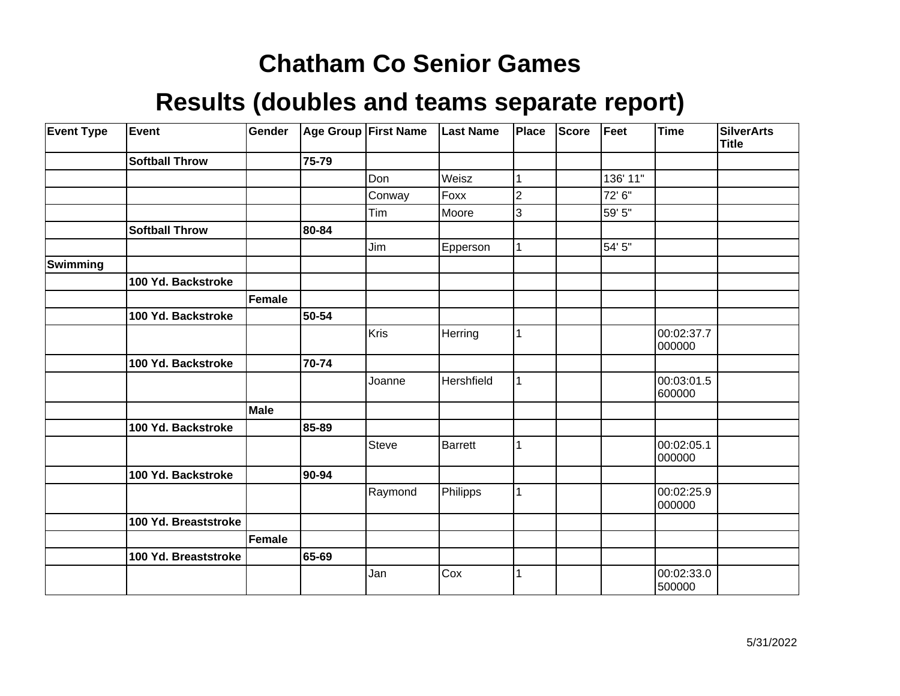| <b>Event Type</b> | Event                 | Gender      |       | Age Group First Name | <b>Last Name</b> | Place | <b>Score</b> | Feet     | <b>Time</b>          | <b>SilverArts</b><br><b>Title</b> |
|-------------------|-----------------------|-------------|-------|----------------------|------------------|-------|--------------|----------|----------------------|-----------------------------------|
|                   | <b>Softball Throw</b> |             | 75-79 |                      |                  |       |              |          |                      |                                   |
|                   |                       |             |       | Don                  | Weisz            |       |              | 136' 11" |                      |                                   |
|                   |                       |             |       | Conway               | Foxx             | 2     |              | 72' 6"   |                      |                                   |
|                   |                       |             |       | Tim                  | Moore            | 3     |              | 59' 5"   |                      |                                   |
|                   | <b>Softball Throw</b> |             | 80-84 |                      |                  |       |              |          |                      |                                   |
|                   |                       |             |       | Jim                  | Epperson         | 1     |              | 54' 5"   |                      |                                   |
| Swimming          |                       |             |       |                      |                  |       |              |          |                      |                                   |
|                   | 100 Yd. Backstroke    |             |       |                      |                  |       |              |          |                      |                                   |
|                   |                       | Female      |       |                      |                  |       |              |          |                      |                                   |
|                   | 100 Yd. Backstroke    |             | 50-54 |                      |                  |       |              |          |                      |                                   |
|                   |                       |             |       | Kris                 | Herring          | 1     |              |          | 00:02:37.7<br>000000 |                                   |
|                   | 100 Yd. Backstroke    |             | 70-74 |                      |                  |       |              |          |                      |                                   |
|                   |                       |             |       | Joanne               | Hershfield       | 1     |              |          | 00:03:01.5<br>600000 |                                   |
|                   |                       | <b>Male</b> |       |                      |                  |       |              |          |                      |                                   |
|                   | 100 Yd. Backstroke    |             | 85-89 |                      |                  |       |              |          |                      |                                   |
|                   |                       |             |       | Steve                | <b>Barrett</b>   | 1     |              |          | 00:02:05.1<br>000000 |                                   |
|                   | 100 Yd. Backstroke    |             | 90-94 |                      |                  |       |              |          |                      |                                   |
|                   |                       |             |       | Raymond              | Philipps         | 1     |              |          | 00:02:25.9<br>000000 |                                   |
|                   | 100 Yd. Breaststroke  |             |       |                      |                  |       |              |          |                      |                                   |
|                   |                       | Female      |       |                      |                  |       |              |          |                      |                                   |
|                   | 100 Yd. Breaststroke  |             | 65-69 |                      |                  |       |              |          |                      |                                   |
|                   |                       |             |       | Jan                  | Cox              |       |              |          | 00:02:33.0<br>500000 |                                   |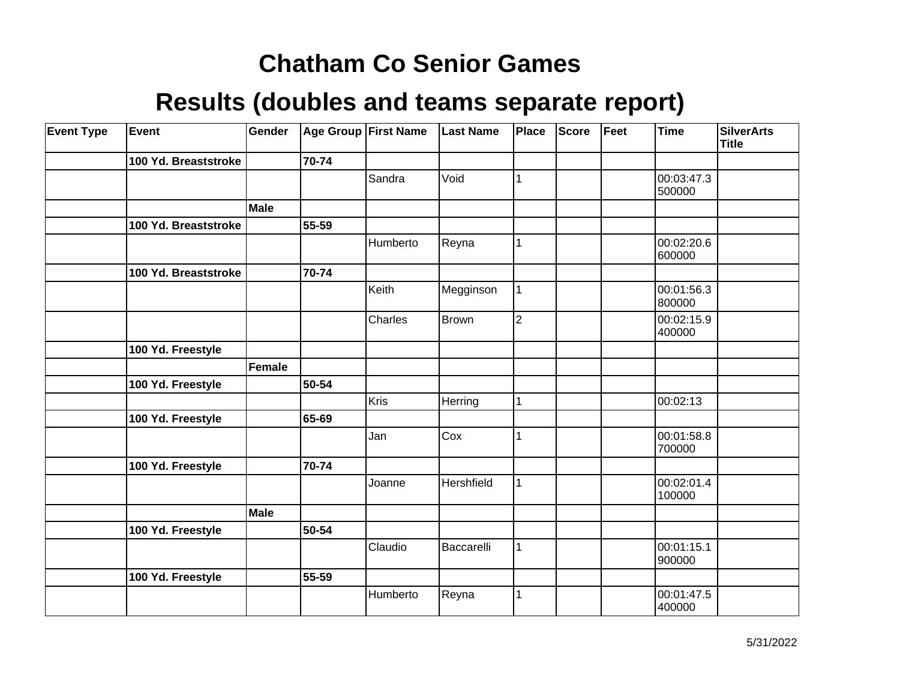| <b>Event Type</b> | Event                | Gender |       | Age Group First Name | <b>Last Name</b> | <b>Place</b>   | Score | Feet | <b>Time</b>          | <b>SilverArts</b><br><b>Title</b> |
|-------------------|----------------------|--------|-------|----------------------|------------------|----------------|-------|------|----------------------|-----------------------------------|
|                   | 100 Yd. Breaststroke |        | 70-74 |                      |                  |                |       |      |                      |                                   |
|                   |                      |        |       | Sandra               | Void             |                |       |      | 00:03:47.3<br>500000 |                                   |
|                   |                      | Male   |       |                      |                  |                |       |      |                      |                                   |
|                   | 100 Yd. Breaststroke |        | 55-59 |                      |                  |                |       |      |                      |                                   |
|                   |                      |        |       | Humberto             | Reyna            | 1              |       |      | 00:02:20.6<br>600000 |                                   |
|                   | 100 Yd. Breaststroke |        | 70-74 |                      |                  |                |       |      |                      |                                   |
|                   |                      |        |       | Keith                | Megginson        |                |       |      | 00:01:56.3<br>800000 |                                   |
|                   |                      |        |       | Charles              | Brown            | $\overline{2}$ |       |      | 00:02:15.9<br>400000 |                                   |
|                   | 100 Yd. Freestyle    |        |       |                      |                  |                |       |      |                      |                                   |
|                   |                      | Female |       |                      |                  |                |       |      |                      |                                   |
|                   | 100 Yd. Freestyle    |        | 50-54 |                      |                  |                |       |      |                      |                                   |
|                   |                      |        |       | Kris                 | Herring          | 1              |       |      | 00:02:13             |                                   |
|                   | 100 Yd. Freestyle    |        | 65-69 |                      |                  |                |       |      |                      |                                   |
|                   |                      |        |       | Jan                  | Cox              |                |       |      | 00:01:58.8<br>700000 |                                   |
|                   | 100 Yd. Freestyle    |        | 70-74 |                      |                  |                |       |      |                      |                                   |
|                   |                      |        |       | Joanne               | Hershfield       | 1              |       |      | 00:02:01.4<br>100000 |                                   |
|                   |                      | Male   |       |                      |                  |                |       |      |                      |                                   |
|                   | 100 Yd. Freestyle    |        | 50-54 |                      |                  |                |       |      |                      |                                   |
|                   |                      |        |       | Claudio              | Baccarelli       |                |       |      | 00:01:15.1<br>900000 |                                   |
|                   | 100 Yd. Freestyle    |        | 55-59 |                      |                  |                |       |      |                      |                                   |
|                   |                      |        |       | Humberto             | Reyna            |                |       |      | 00:01:47.5<br>400000 |                                   |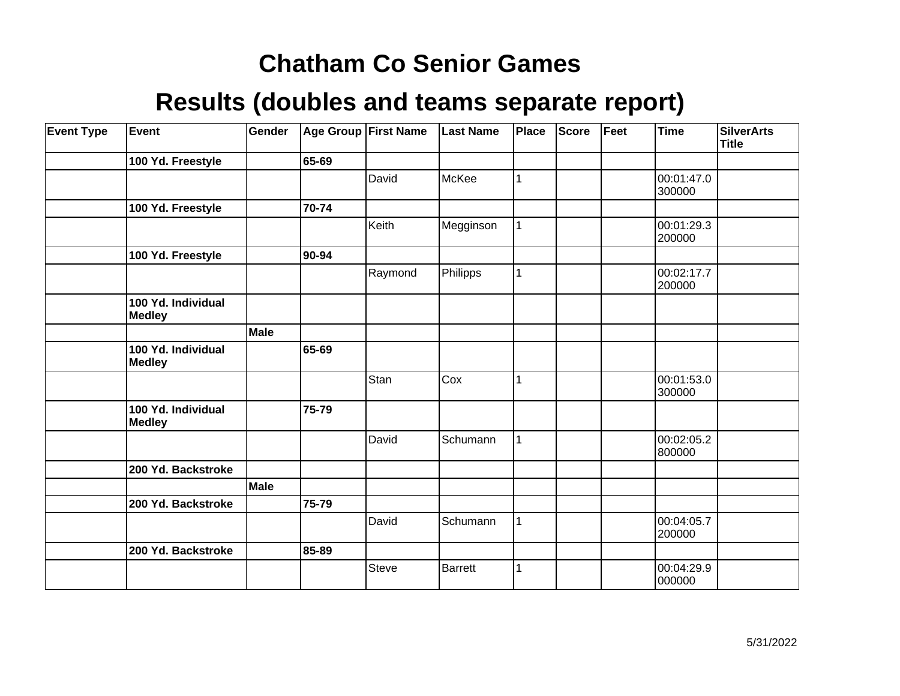| <b>Event Type</b> | Event                               | Gender      |       | Age Group First Name | <b>Last Name</b> | <b>Place</b> | <b>Score</b> | Feet | <b>Time</b>          | <b>SilverArts</b><br><b>Title</b> |
|-------------------|-------------------------------------|-------------|-------|----------------------|------------------|--------------|--------------|------|----------------------|-----------------------------------|
|                   | 100 Yd. Freestyle                   |             | 65-69 |                      |                  |              |              |      |                      |                                   |
|                   |                                     |             |       | David                | McKee            |              |              |      | 00:01:47.0<br>300000 |                                   |
|                   | 100 Yd. Freestyle                   |             | 70-74 |                      |                  |              |              |      |                      |                                   |
|                   |                                     |             |       | Keith                | Megginson        |              |              |      | 00:01:29.3<br>200000 |                                   |
|                   | 100 Yd. Freestyle                   |             | 90-94 |                      |                  |              |              |      |                      |                                   |
|                   |                                     |             |       | Raymond              | Philipps         |              |              |      | 00:02:17.7<br>200000 |                                   |
|                   | 100 Yd. Individual<br><b>Medley</b> |             |       |                      |                  |              |              |      |                      |                                   |
|                   |                                     | <b>Male</b> |       |                      |                  |              |              |      |                      |                                   |
|                   | 100 Yd. Individual<br><b>Medley</b> |             | 65-69 |                      |                  |              |              |      |                      |                                   |
|                   |                                     |             |       | Stan                 | Cox              |              |              |      | 00:01:53.0<br>300000 |                                   |
|                   | 100 Yd. Individual<br><b>Medley</b> |             | 75-79 |                      |                  |              |              |      |                      |                                   |
|                   |                                     |             |       | David                | Schumann         |              |              |      | 00:02:05.2<br>800000 |                                   |
|                   | 200 Yd. Backstroke                  |             |       |                      |                  |              |              |      |                      |                                   |
|                   |                                     | <b>Male</b> |       |                      |                  |              |              |      |                      |                                   |
|                   | 200 Yd. Backstroke                  |             | 75-79 |                      |                  |              |              |      |                      |                                   |
|                   |                                     |             |       | David                | Schumann         |              |              |      | 00:04:05.7<br>200000 |                                   |
|                   | 200 Yd. Backstroke                  |             | 85-89 |                      |                  |              |              |      |                      |                                   |
|                   |                                     |             |       | <b>Steve</b>         | <b>Barrett</b>   |              |              |      | 00:04:29.9<br>000000 |                                   |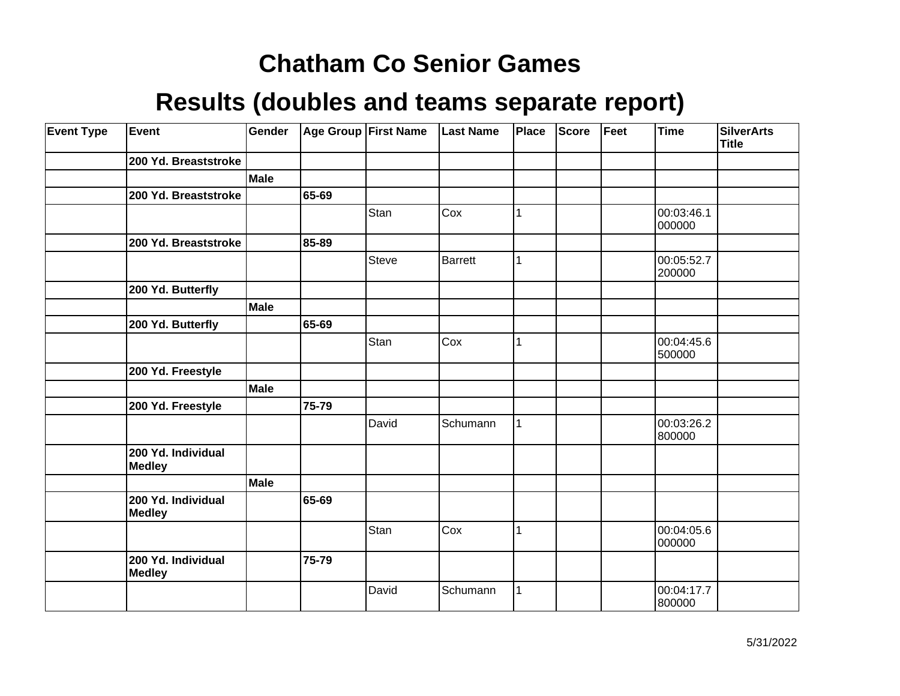| <b>Event Type</b> | Event                               | Gender      |       | Age Group First Name | <b>Last Name</b> | Place | <b>Score</b> | Feet | <b>Time</b>          | <b>SilverArts</b><br><b>Title</b> |
|-------------------|-------------------------------------|-------------|-------|----------------------|------------------|-------|--------------|------|----------------------|-----------------------------------|
|                   | 200 Yd. Breaststroke                |             |       |                      |                  |       |              |      |                      |                                   |
|                   |                                     | Male        |       |                      |                  |       |              |      |                      |                                   |
|                   | 200 Yd. Breaststroke                |             | 65-69 |                      |                  |       |              |      |                      |                                   |
|                   |                                     |             |       | Stan                 | Cox              | 1     |              |      | 00:03:46.1<br>000000 |                                   |
|                   | 200 Yd. Breaststroke                |             | 85-89 |                      |                  |       |              |      |                      |                                   |
|                   |                                     |             |       | Steve                | <b>Barrett</b>   | 1     |              |      | 00:05:52.7<br>200000 |                                   |
|                   | 200 Yd. Butterfly                   |             |       |                      |                  |       |              |      |                      |                                   |
|                   |                                     | <b>Male</b> |       |                      |                  |       |              |      |                      |                                   |
|                   | 200 Yd. Butterfly                   |             | 65-69 |                      |                  |       |              |      |                      |                                   |
|                   |                                     |             |       | Stan                 | Cox              | 1     |              |      | 00:04:45.6<br>500000 |                                   |
|                   | 200 Yd. Freestyle                   |             |       |                      |                  |       |              |      |                      |                                   |
|                   |                                     | <b>Male</b> |       |                      |                  |       |              |      |                      |                                   |
|                   | 200 Yd. Freestyle                   |             | 75-79 |                      |                  |       |              |      |                      |                                   |
|                   |                                     |             |       | David                | Schumann         | 1     |              |      | 00:03:26.2<br>800000 |                                   |
|                   | 200 Yd. Individual<br><b>Medley</b> |             |       |                      |                  |       |              |      |                      |                                   |
|                   |                                     | <b>Male</b> |       |                      |                  |       |              |      |                      |                                   |
|                   | 200 Yd. Individual<br><b>Medley</b> |             | 65-69 |                      |                  |       |              |      |                      |                                   |
|                   |                                     |             |       | Stan                 | Cox              |       |              |      | 00:04:05.6<br>000000 |                                   |
|                   | 200 Yd. Individual<br><b>Medley</b> |             | 75-79 |                      |                  |       |              |      |                      |                                   |
|                   |                                     |             |       | David                | Schumann         | 1     |              |      | 00:04:17.7<br>800000 |                                   |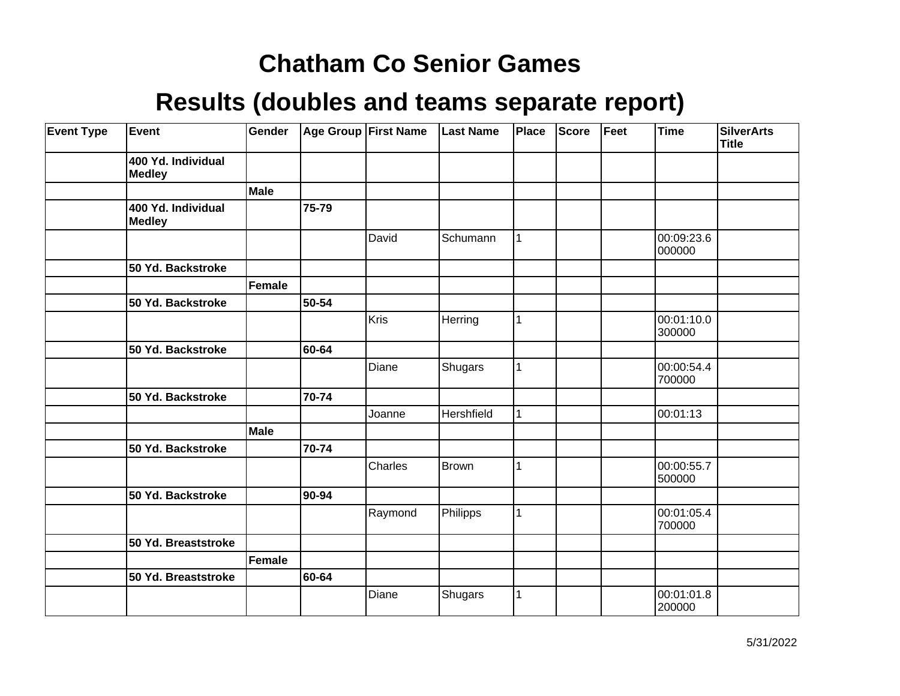| <b>Event Type</b> | Event                               | Gender      |       | Age Group First Name | <b>Last Name</b> | Place | Score | Feet | <b>Time</b>          | <b>SilverArts</b><br>Title |
|-------------------|-------------------------------------|-------------|-------|----------------------|------------------|-------|-------|------|----------------------|----------------------------|
|                   | 400 Yd. Individual<br><b>Medley</b> |             |       |                      |                  |       |       |      |                      |                            |
|                   |                                     | <b>Male</b> |       |                      |                  |       |       |      |                      |                            |
|                   | 400 Yd. Individual<br><b>Medley</b> |             | 75-79 |                      |                  |       |       |      |                      |                            |
|                   |                                     |             |       | David                | Schumann         | 1     |       |      | 00:09:23.6<br>000000 |                            |
|                   | 50 Yd. Backstroke                   |             |       |                      |                  |       |       |      |                      |                            |
|                   |                                     | Female      |       |                      |                  |       |       |      |                      |                            |
|                   | 50 Yd. Backstroke                   |             | 50-54 |                      |                  |       |       |      |                      |                            |
|                   |                                     |             |       | Kris                 | Herring          | 1     |       |      | 00:01:10.0<br>300000 |                            |
|                   | 50 Yd. Backstroke                   |             | 60-64 |                      |                  |       |       |      |                      |                            |
|                   |                                     |             |       | Diane                | Shugars          | 1     |       |      | 00:00:54.4<br>700000 |                            |
|                   | 50 Yd. Backstroke                   |             | 70-74 |                      |                  |       |       |      |                      |                            |
|                   |                                     |             |       | Joanne               | Hershfield       | 1     |       |      | 00:01:13             |                            |
|                   |                                     | <b>Male</b> |       |                      |                  |       |       |      |                      |                            |
|                   | 50 Yd. Backstroke                   |             | 70-74 |                      |                  |       |       |      |                      |                            |
|                   |                                     |             |       | Charles              | Brown            | 1     |       |      | 00:00:55.7<br>500000 |                            |
|                   | 50 Yd. Backstroke                   |             | 90-94 |                      |                  |       |       |      |                      |                            |
|                   |                                     |             |       | Raymond              | Philipps         | 1     |       |      | 00:01:05.4<br>700000 |                            |
|                   | 50 Yd. Breaststroke                 |             |       |                      |                  |       |       |      |                      |                            |
|                   |                                     | Female      |       |                      |                  |       |       |      |                      |                            |
|                   | 50 Yd. Breaststroke                 |             | 60-64 |                      |                  |       |       |      |                      |                            |
|                   |                                     |             |       | Diane                | Shugars          | 1     |       |      | 00:01:01.8<br>200000 |                            |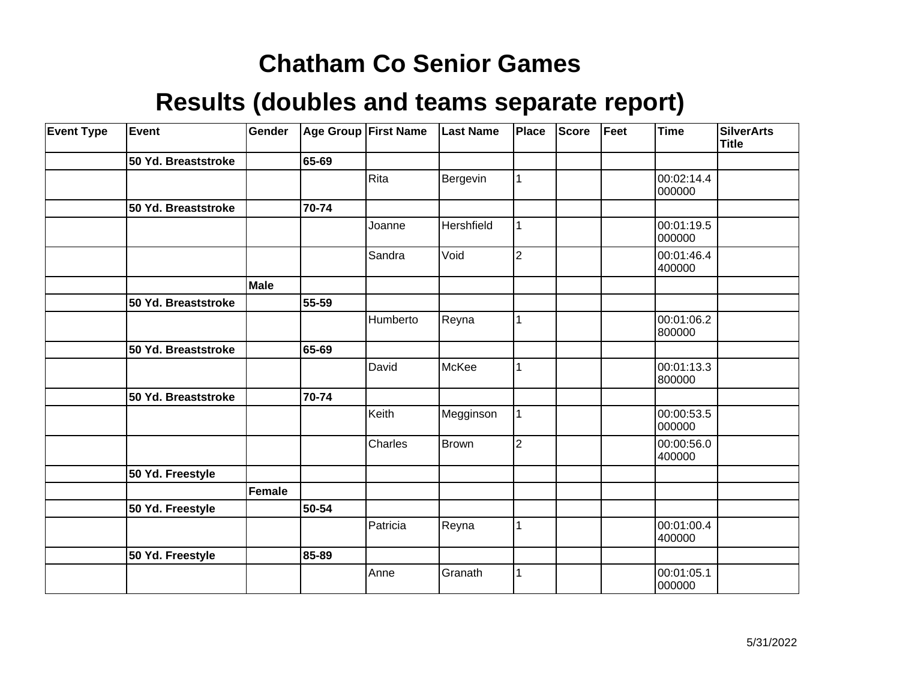| <b>Event Type</b> | Event               | Gender      |       | Age Group First Name | <b>Last Name</b> | Place          | Score | Feet | <b>Time</b>          | <b>SilverArts</b><br><b>Title</b> |
|-------------------|---------------------|-------------|-------|----------------------|------------------|----------------|-------|------|----------------------|-----------------------------------|
|                   | 50 Yd. Breaststroke |             | 65-69 |                      |                  |                |       |      |                      |                                   |
|                   |                     |             |       | Rita                 | Bergevin         | 1              |       |      | 00:02:14.4<br>000000 |                                   |
|                   | 50 Yd. Breaststroke |             | 70-74 |                      |                  |                |       |      |                      |                                   |
|                   |                     |             |       | Joanne               | Hershfield       | 1              |       |      | 00:01:19.5<br>000000 |                                   |
|                   |                     |             |       | Sandra               | Void             | $\overline{2}$ |       |      | 00:01:46.4<br>400000 |                                   |
|                   |                     | <b>Male</b> |       |                      |                  |                |       |      |                      |                                   |
|                   | 50 Yd. Breaststroke |             | 55-59 |                      |                  |                |       |      |                      |                                   |
|                   |                     |             |       | Humberto             | Reyna            | 1              |       |      | 00:01:06.2<br>800000 |                                   |
|                   | 50 Yd. Breaststroke |             | 65-69 |                      |                  |                |       |      |                      |                                   |
|                   |                     |             |       | David                | McKee            | 1              |       |      | 00:01:13.3<br>800000 |                                   |
|                   | 50 Yd. Breaststroke |             | 70-74 |                      |                  |                |       |      |                      |                                   |
|                   |                     |             |       | Keith                | Megginson        | 1              |       |      | 00:00:53.5<br>000000 |                                   |
|                   |                     |             |       | Charles              | Brown            | $\overline{2}$ |       |      | 00:00:56.0<br>400000 |                                   |
|                   | 50 Yd. Freestyle    |             |       |                      |                  |                |       |      |                      |                                   |
|                   |                     | Female      |       |                      |                  |                |       |      |                      |                                   |
|                   | 50 Yd. Freestyle    |             | 50-54 |                      |                  |                |       |      |                      |                                   |
|                   |                     |             |       | Patricia             | Reyna            | 1              |       |      | 00:01:00.4<br>400000 |                                   |
|                   | 50 Yd. Freestyle    |             | 85-89 |                      |                  |                |       |      |                      |                                   |
|                   |                     |             |       | Anne                 | Granath          | 1              |       |      | 00:01:05.1<br>000000 |                                   |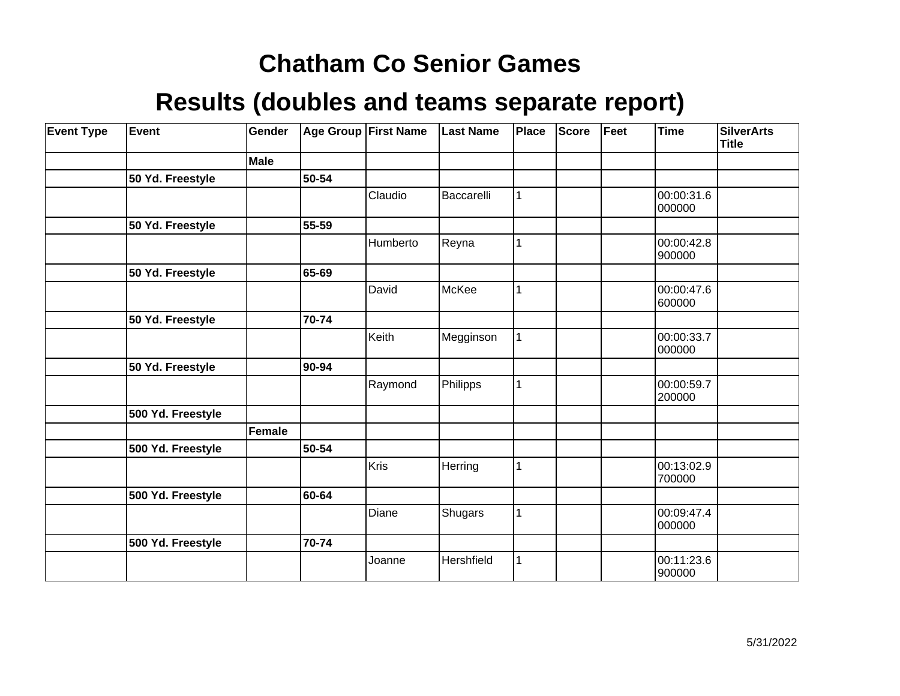| <b>Event Type</b> | Event             | Gender      |       | <b>Age Group First Name</b> | <b>Last Name</b> | Place       | Score | Feet | <b>Time</b>          | <b>SilverArts</b><br><b>Title</b> |
|-------------------|-------------------|-------------|-------|-----------------------------|------------------|-------------|-------|------|----------------------|-----------------------------------|
|                   |                   | <b>Male</b> |       |                             |                  |             |       |      |                      |                                   |
|                   | 50 Yd. Freestyle  |             | 50-54 |                             |                  |             |       |      |                      |                                   |
|                   |                   |             |       | Claudio                     | Baccarelli       | 1           |       |      | 00:00:31.6<br>000000 |                                   |
|                   | 50 Yd. Freestyle  |             | 55-59 |                             |                  |             |       |      |                      |                                   |
|                   |                   |             |       | Humberto                    | Reyna            | 1           |       |      | 00:00:42.8<br>900000 |                                   |
|                   | 50 Yd. Freestyle  |             | 65-69 |                             |                  |             |       |      |                      |                                   |
|                   |                   |             |       | David                       | McKee            |             |       |      | 00:00:47.6<br>600000 |                                   |
|                   | 50 Yd. Freestyle  |             | 70-74 |                             |                  |             |       |      |                      |                                   |
|                   |                   |             |       | Keith                       | Megginson        | 1           |       |      | 00:00:33.7<br>000000 |                                   |
|                   | 50 Yd. Freestyle  |             | 90-94 |                             |                  |             |       |      |                      |                                   |
|                   |                   |             |       | Raymond                     | Philipps         | 1           |       |      | 00:00:59.7<br>200000 |                                   |
|                   | 500 Yd. Freestyle |             |       |                             |                  |             |       |      |                      |                                   |
|                   |                   | Female      |       |                             |                  |             |       |      |                      |                                   |
|                   | 500 Yd. Freestyle |             | 50-54 |                             |                  |             |       |      |                      |                                   |
|                   |                   |             |       | Kris                        | Herring          | 1           |       |      | 00:13:02.9<br>700000 |                                   |
|                   | 500 Yd. Freestyle |             | 60-64 |                             |                  |             |       |      |                      |                                   |
|                   |                   |             |       | Diane                       | Shugars          | $\mathbf 1$ |       |      | 00:09:47.4<br>000000 |                                   |
|                   | 500 Yd. Freestyle |             | 70-74 |                             |                  |             |       |      |                      |                                   |
|                   |                   |             |       | Joanne                      | Hershfield       | 1           |       |      | 00:11:23.6<br>900000 |                                   |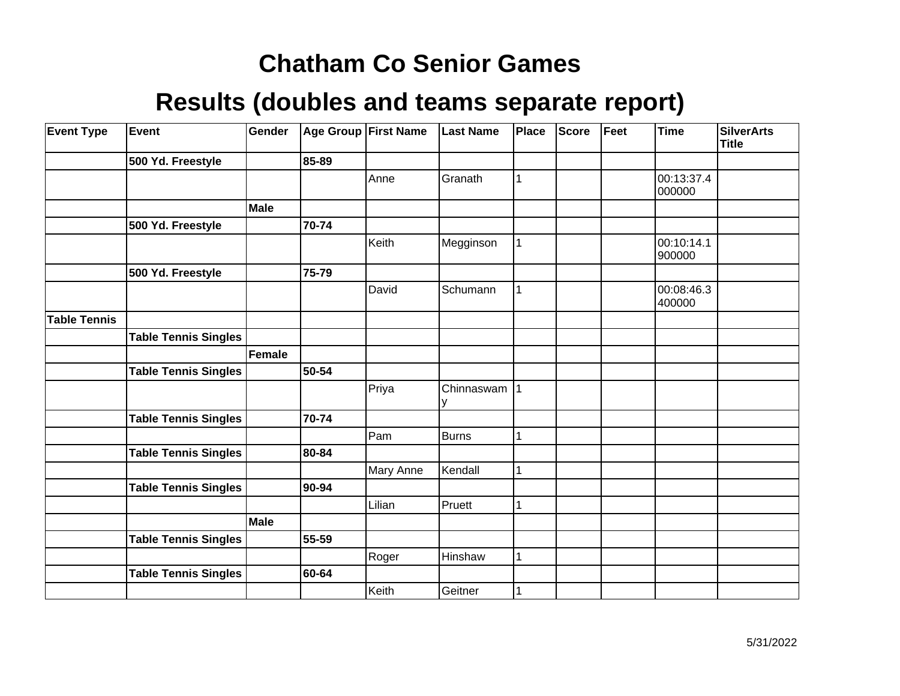| <b>Event Type</b>   | <b>Event</b>                | Gender      |       | Age Group First Name | <b>Last Name</b> | Place | Score | Feet | <b>Time</b>          | <b>SilverArts</b><br><b>Title</b> |
|---------------------|-----------------------------|-------------|-------|----------------------|------------------|-------|-------|------|----------------------|-----------------------------------|
|                     | 500 Yd. Freestyle           |             | 85-89 |                      |                  |       |       |      |                      |                                   |
|                     |                             |             |       | Anne                 | Granath          | 1     |       |      | 00:13:37.4<br>000000 |                                   |
|                     |                             | Male        |       |                      |                  |       |       |      |                      |                                   |
|                     | 500 Yd. Freestyle           |             | 70-74 |                      |                  |       |       |      |                      |                                   |
|                     |                             |             |       | Keith                | Megginson        |       |       |      | 00:10:14.1<br>900000 |                                   |
|                     | 500 Yd. Freestyle           |             | 75-79 |                      |                  |       |       |      |                      |                                   |
|                     |                             |             |       | David                | Schumann         | 1     |       |      | 00:08:46.3<br>400000 |                                   |
| <b>Table Tennis</b> |                             |             |       |                      |                  |       |       |      |                      |                                   |
|                     | <b>Table Tennis Singles</b> |             |       |                      |                  |       |       |      |                      |                                   |
|                     |                             | Female      |       |                      |                  |       |       |      |                      |                                   |
|                     | <b>Table Tennis Singles</b> |             | 50-54 |                      |                  |       |       |      |                      |                                   |
|                     |                             |             |       | Priya                | Chinnaswam   1   |       |       |      |                      |                                   |
|                     | <b>Table Tennis Singles</b> |             | 70-74 |                      |                  |       |       |      |                      |                                   |
|                     |                             |             |       | Pam                  | Burns            | 1     |       |      |                      |                                   |
|                     | <b>Table Tennis Singles</b> |             | 80-84 |                      |                  |       |       |      |                      |                                   |
|                     |                             |             |       | Mary Anne            | Kendall          | 1     |       |      |                      |                                   |
|                     | <b>Table Tennis Singles</b> |             | 90-94 |                      |                  |       |       |      |                      |                                   |
|                     |                             |             |       | Lilian               | Pruett           | 1     |       |      |                      |                                   |
|                     |                             | <b>Male</b> |       |                      |                  |       |       |      |                      |                                   |
|                     | <b>Table Tennis Singles</b> |             | 55-59 |                      |                  |       |       |      |                      |                                   |
|                     |                             |             |       | Roger                | Hinshaw          | 1     |       |      |                      |                                   |
|                     | <b>Table Tennis Singles</b> |             | 60-64 |                      |                  |       |       |      |                      |                                   |
|                     |                             |             |       | Keith                | Geitner          |       |       |      |                      |                                   |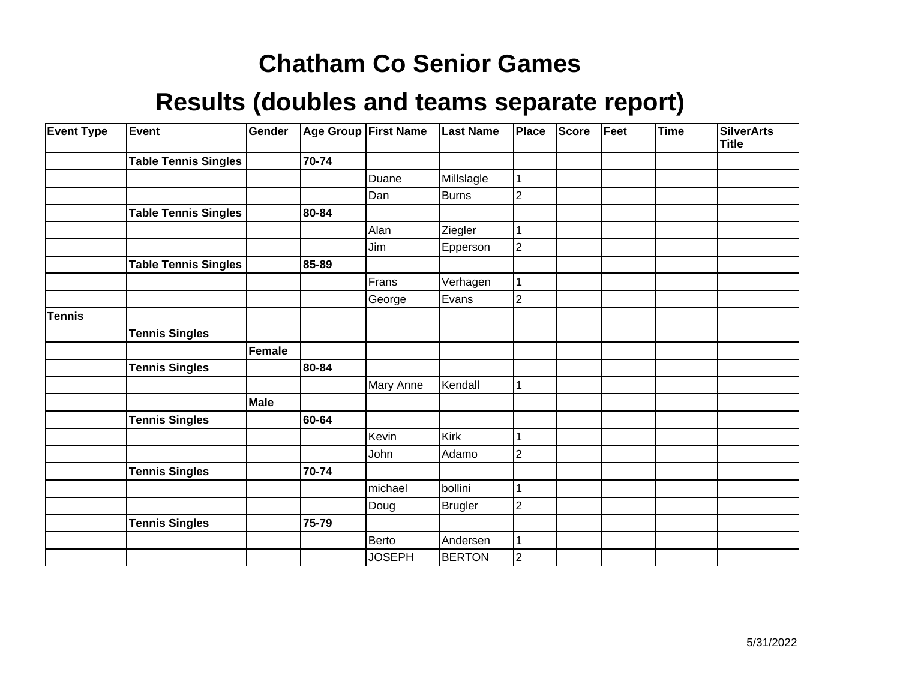| <b>Event Type</b> | Event                       | Gender | Age Group First Name |               | <b>Last Name</b> | Place          | <b>Score</b> | Feet | <b>Time</b> | <b>SilverArts</b><br><b>Title</b> |
|-------------------|-----------------------------|--------|----------------------|---------------|------------------|----------------|--------------|------|-------------|-----------------------------------|
|                   | <b>Table Tennis Singles</b> |        | 70-74                |               |                  |                |              |      |             |                                   |
|                   |                             |        |                      | Duane         | Millslagle       |                |              |      |             |                                   |
|                   |                             |        |                      | Dan           | Burns            | $\overline{2}$ |              |      |             |                                   |
|                   | <b>Table Tennis Singles</b> |        | 80-84                |               |                  |                |              |      |             |                                   |
|                   |                             |        |                      | Alan          | Ziegler          |                |              |      |             |                                   |
|                   |                             |        |                      | Jim           | Epperson         | $\mathbf 2$    |              |      |             |                                   |
|                   | <b>Table Tennis Singles</b> |        | 85-89                |               |                  |                |              |      |             |                                   |
|                   |                             |        |                      | Frans         | Verhagen         |                |              |      |             |                                   |
|                   |                             |        |                      | George        | Evans            | 2              |              |      |             |                                   |
| <b>Tennis</b>     |                             |        |                      |               |                  |                |              |      |             |                                   |
|                   | <b>Tennis Singles</b>       |        |                      |               |                  |                |              |      |             |                                   |
|                   |                             | Female |                      |               |                  |                |              |      |             |                                   |
|                   | <b>Tennis Singles</b>       |        | 80-84                |               |                  |                |              |      |             |                                   |
|                   |                             |        |                      | Mary Anne     | Kendall          | 1              |              |      |             |                                   |
|                   |                             | Male   |                      |               |                  |                |              |      |             |                                   |
|                   | <b>Tennis Singles</b>       |        | 60-64                |               |                  |                |              |      |             |                                   |
|                   |                             |        |                      | Kevin         | Kirk             |                |              |      |             |                                   |
|                   |                             |        |                      | John          | Adamo            | $\overline{2}$ |              |      |             |                                   |
|                   | <b>Tennis Singles</b>       |        | 70-74                |               |                  |                |              |      |             |                                   |
|                   |                             |        |                      | michael       | bollini          |                |              |      |             |                                   |
|                   |                             |        |                      | Doug          | Brugler          | 2              |              |      |             |                                   |
|                   | <b>Tennis Singles</b>       |        | 75-79                |               |                  |                |              |      |             |                                   |
|                   |                             |        |                      | Berto         | Andersen         |                |              |      |             |                                   |
|                   |                             |        |                      | <b>JOSEPH</b> | <b>BERTON</b>    | 2              |              |      |             |                                   |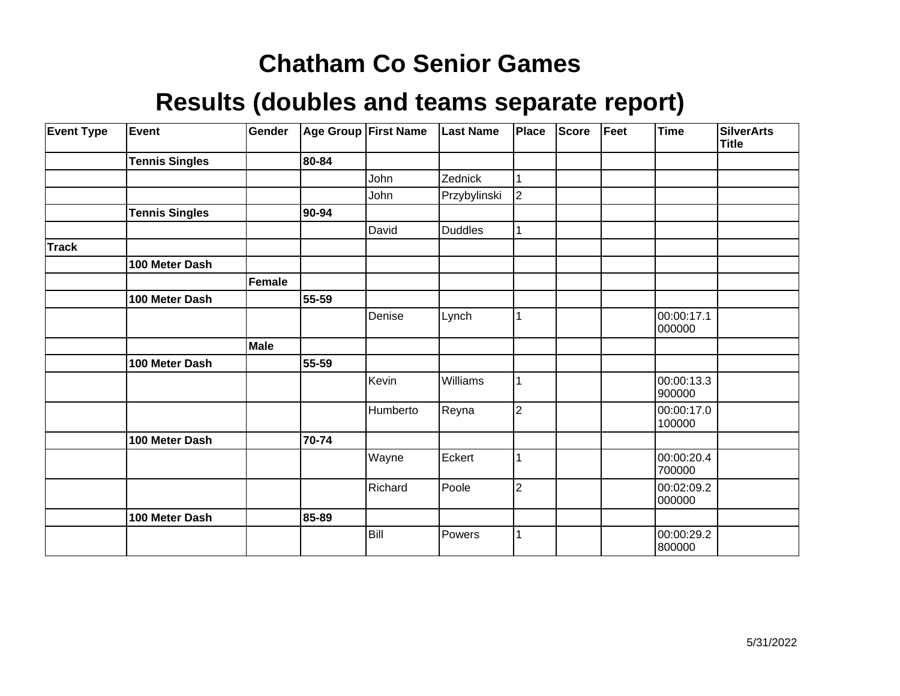| <b>Event Type</b> | <b>Event</b>          | Gender |       | Age Group First Name | <b>Last Name</b> | <b>Place</b>   | <b>Score</b> | Feet | <b>Time</b>          | <b>SilverArts</b><br><b>Title</b> |
|-------------------|-----------------------|--------|-------|----------------------|------------------|----------------|--------------|------|----------------------|-----------------------------------|
|                   | <b>Tennis Singles</b> |        | 80-84 |                      |                  |                |              |      |                      |                                   |
|                   |                       |        |       | John                 | Zednick          |                |              |      |                      |                                   |
|                   |                       |        |       | John                 | Przybylinski     | $\overline{2}$ |              |      |                      |                                   |
|                   | <b>Tennis Singles</b> |        | 90-94 |                      |                  |                |              |      |                      |                                   |
|                   |                       |        |       | David                | <b>Duddles</b>   |                |              |      |                      |                                   |
| <b>Track</b>      |                       |        |       |                      |                  |                |              |      |                      |                                   |
|                   | 100 Meter Dash        |        |       |                      |                  |                |              |      |                      |                                   |
|                   |                       | Female |       |                      |                  |                |              |      |                      |                                   |
|                   | 100 Meter Dash        |        | 55-59 |                      |                  |                |              |      |                      |                                   |
|                   |                       |        |       | Denise               | Lynch            |                |              |      | 00:00:17.1<br>000000 |                                   |
|                   |                       | Male   |       |                      |                  |                |              |      |                      |                                   |
|                   | 100 Meter Dash        |        | 55-59 |                      |                  |                |              |      |                      |                                   |
|                   |                       |        |       | Kevin                | Williams         |                |              |      | 00:00:13.3<br>900000 |                                   |
|                   |                       |        |       | Humberto             | Reyna            | $\overline{2}$ |              |      | 00:00:17.0<br>100000 |                                   |
|                   | 100 Meter Dash        |        | 70-74 |                      |                  |                |              |      |                      |                                   |
|                   |                       |        |       | Wayne                | Eckert           |                |              |      | 00:00:20.4<br>700000 |                                   |
|                   |                       |        |       | Richard              | Poole            | $\overline{2}$ |              |      | 00:02:09.2<br>000000 |                                   |
|                   | 100 Meter Dash        |        | 85-89 |                      |                  |                |              |      |                      |                                   |
|                   |                       |        |       | Bill                 | Powers           |                |              |      | 00:00:29.2<br>800000 |                                   |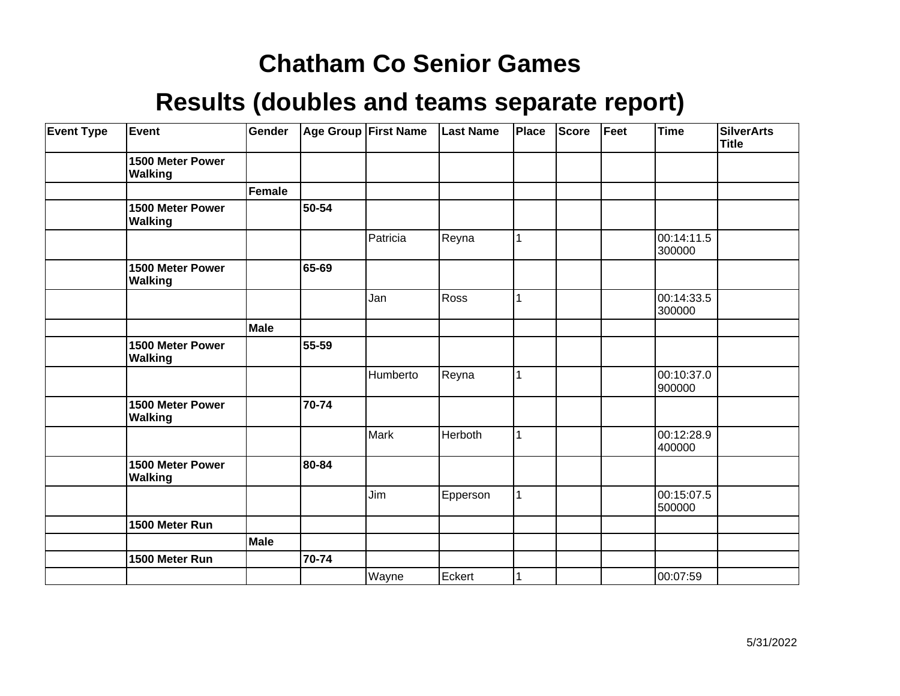| <b>Event Type</b> | Event                              | Gender        |       | <b>Age Group First Name</b> | <b>Last Name</b> | Place | <b>Score</b> | Feet | <b>Time</b>          | <b>SilverArts</b><br>Title |
|-------------------|------------------------------------|---------------|-------|-----------------------------|------------------|-------|--------------|------|----------------------|----------------------------|
|                   | 1500 Meter Power<br><b>Walking</b> |               |       |                             |                  |       |              |      |                      |                            |
|                   |                                    | <b>Female</b> |       |                             |                  |       |              |      |                      |                            |
|                   | 1500 Meter Power<br><b>Walking</b> |               | 50-54 |                             |                  |       |              |      |                      |                            |
|                   |                                    |               |       | Patricia                    | Reyna            | 1     |              |      | 00:14:11.5<br>300000 |                            |
|                   | 1500 Meter Power<br><b>Walking</b> |               | 65-69 |                             |                  |       |              |      |                      |                            |
|                   |                                    |               |       | Jan                         | Ross             | 1     |              |      | 00:14:33.5<br>300000 |                            |
|                   |                                    | Male          |       |                             |                  |       |              |      |                      |                            |
|                   | 1500 Meter Power<br><b>Walking</b> |               | 55-59 |                             |                  |       |              |      |                      |                            |
|                   |                                    |               |       | Humberto                    | Reyna            | 1     |              |      | 00:10:37.0<br>900000 |                            |
|                   | 1500 Meter Power<br><b>Walking</b> |               | 70-74 |                             |                  |       |              |      |                      |                            |
|                   |                                    |               |       | <b>Mark</b>                 | Herboth          | 1     |              |      | 00:12:28.9<br>400000 |                            |
|                   | 1500 Meter Power<br><b>Walking</b> |               | 80-84 |                             |                  |       |              |      |                      |                            |
|                   |                                    |               |       | Jim                         | Epperson         | 1     |              |      | 00:15:07.5<br>500000 |                            |
|                   | 1500 Meter Run                     |               |       |                             |                  |       |              |      |                      |                            |
|                   |                                    | Male          |       |                             |                  |       |              |      |                      |                            |
|                   | 1500 Meter Run                     |               | 70-74 |                             |                  |       |              |      |                      |                            |
|                   |                                    |               |       | Wayne                       | Eckert           |       |              |      | 00:07:59             |                            |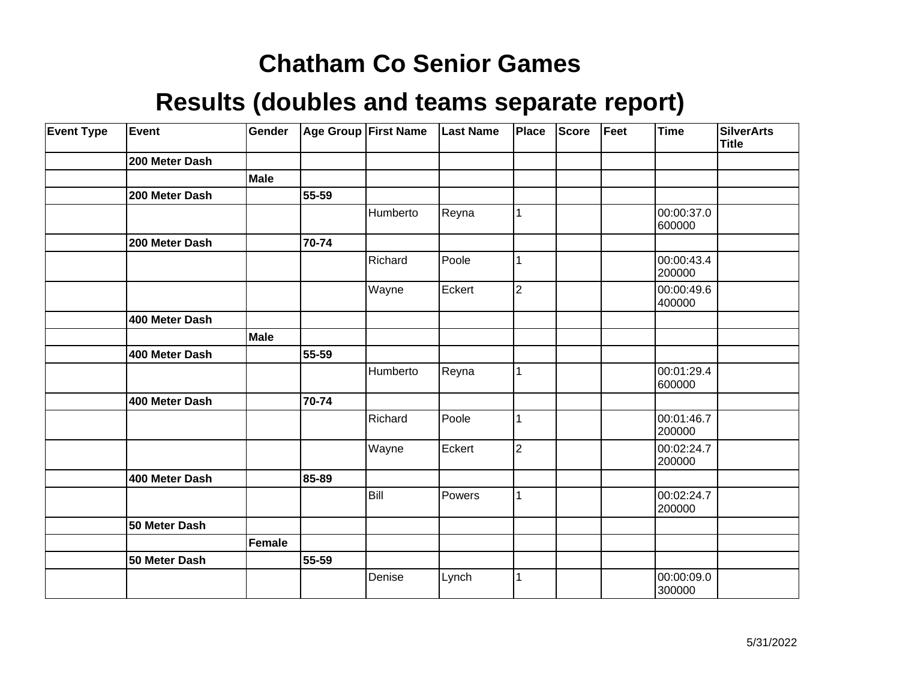| <b>Event Type</b> | Event          | Gender        |       | Age Group First Name | <b>Last Name</b> | Place          | <b>Score</b> | Feet | <b>Time</b>          | <b>SilverArts</b><br>Title |
|-------------------|----------------|---------------|-------|----------------------|------------------|----------------|--------------|------|----------------------|----------------------------|
|                   | 200 Meter Dash |               |       |                      |                  |                |              |      |                      |                            |
|                   |                | <b>Male</b>   |       |                      |                  |                |              |      |                      |                            |
|                   | 200 Meter Dash |               | 55-59 |                      |                  |                |              |      |                      |                            |
|                   |                |               |       | Humberto             | Reyna            | 1              |              |      | 00:00:37.0<br>600000 |                            |
|                   | 200 Meter Dash |               | 70-74 |                      |                  |                |              |      |                      |                            |
|                   |                |               |       | Richard              | Poole            | $\mathbf{1}$   |              |      | 00:00:43.4<br>200000 |                            |
|                   |                |               |       | Wayne                | Eckert           | $\overline{2}$ |              |      | 00:00:49.6<br>400000 |                            |
|                   | 400 Meter Dash |               |       |                      |                  |                |              |      |                      |                            |
|                   |                | Male          |       |                      |                  |                |              |      |                      |                            |
|                   | 400 Meter Dash |               | 55-59 |                      |                  |                |              |      |                      |                            |
|                   |                |               |       | Humberto             | Reyna            | $\mathbf{1}$   |              |      | 00:01:29.4<br>600000 |                            |
|                   | 400 Meter Dash |               | 70-74 |                      |                  |                |              |      |                      |                            |
|                   |                |               |       | Richard              | Poole            | 1              |              |      | 00:01:46.7<br>200000 |                            |
|                   |                |               |       | Wayne                | Eckert           | $\overline{2}$ |              |      | 00:02:24.7<br>200000 |                            |
|                   | 400 Meter Dash |               | 85-89 |                      |                  |                |              |      |                      |                            |
|                   |                |               |       | Bill                 | Powers           | $\mathbf 1$    |              |      | 00:02:24.7<br>200000 |                            |
|                   | 50 Meter Dash  |               |       |                      |                  |                |              |      |                      |                            |
|                   |                | <b>Female</b> |       |                      |                  |                |              |      |                      |                            |
|                   | 50 Meter Dash  |               | 55-59 |                      |                  |                |              |      |                      |                            |
|                   |                |               |       | Denise               | Lynch            | 1              |              |      | 00:00:09.0<br>300000 |                            |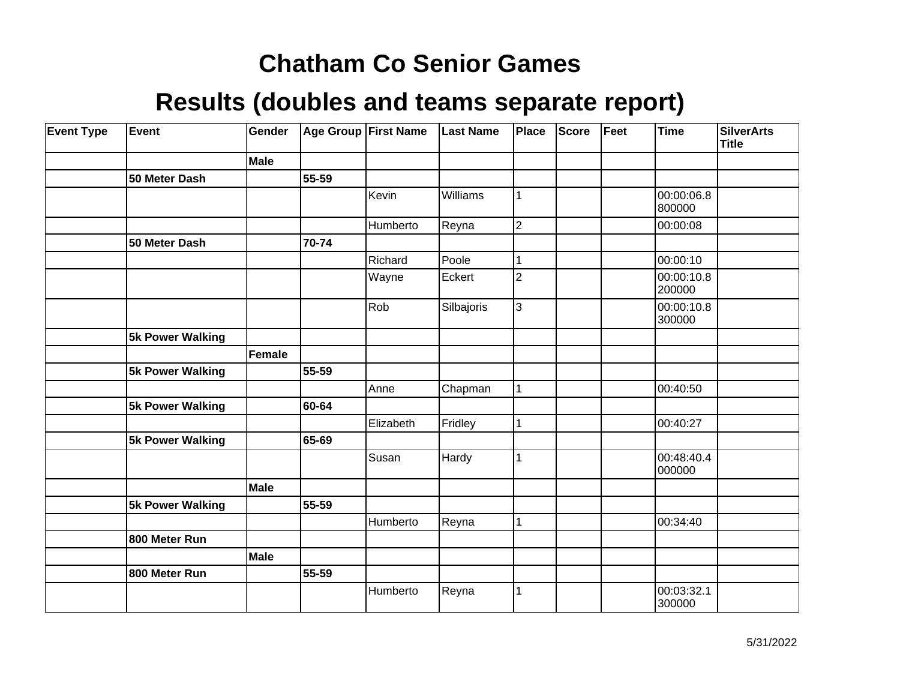| <b>Event Type</b> | Event            | Gender      |       | Age Group First Name | <b>Last Name</b> | Place          | Score | Feet | <b>Time</b>          | SilverArts<br><b>Title</b> |
|-------------------|------------------|-------------|-------|----------------------|------------------|----------------|-------|------|----------------------|----------------------------|
|                   |                  | Male        |       |                      |                  |                |       |      |                      |                            |
|                   | 50 Meter Dash    |             | 55-59 |                      |                  |                |       |      |                      |                            |
|                   |                  |             |       | Kevin                | Williams         | $\mathbf{1}$   |       |      | 00:00:06.8<br>800000 |                            |
|                   |                  |             |       | Humberto             | Reyna            | $\overline{2}$ |       |      | 00:00:08             |                            |
|                   | 50 Meter Dash    |             | 70-74 |                      |                  |                |       |      |                      |                            |
|                   |                  |             |       | Richard              | Poole            | 1              |       |      | 00:00:10             |                            |
|                   |                  |             |       | Wayne                | Eckert           | $\overline{2}$ |       |      | 00:00:10.8<br>200000 |                            |
|                   |                  |             |       | Rob                  | Silbajoris       | 3              |       |      | 00:00:10.8<br>300000 |                            |
|                   | 5k Power Walking |             |       |                      |                  |                |       |      |                      |                            |
|                   |                  | Female      |       |                      |                  |                |       |      |                      |                            |
|                   | 5k Power Walking |             | 55-59 |                      |                  |                |       |      |                      |                            |
|                   |                  |             |       | Anne                 | Chapman          | $\mathbf{1}$   |       |      | 00:40:50             |                            |
|                   | 5k Power Walking |             | 60-64 |                      |                  |                |       |      |                      |                            |
|                   |                  |             |       | Elizabeth            | Fridley          | 1              |       |      | 00:40:27             |                            |
|                   | 5k Power Walking |             | 65-69 |                      |                  |                |       |      |                      |                            |
|                   |                  |             |       | Susan                | Hardy            | 1              |       |      | 00:48:40.4<br>000000 |                            |
|                   |                  | <b>Male</b> |       |                      |                  |                |       |      |                      |                            |
|                   | 5k Power Walking |             | 55-59 |                      |                  |                |       |      |                      |                            |
|                   |                  |             |       | Humberto             | Reyna            | 1              |       |      | 00:34:40             |                            |
|                   | 800 Meter Run    |             |       |                      |                  |                |       |      |                      |                            |
|                   |                  | Male        |       |                      |                  |                |       |      |                      |                            |
|                   | 800 Meter Run    |             | 55-59 |                      |                  |                |       |      |                      |                            |
|                   |                  |             |       | Humberto             | Reyna            | 1              |       |      | 00:03:32.1<br>300000 |                            |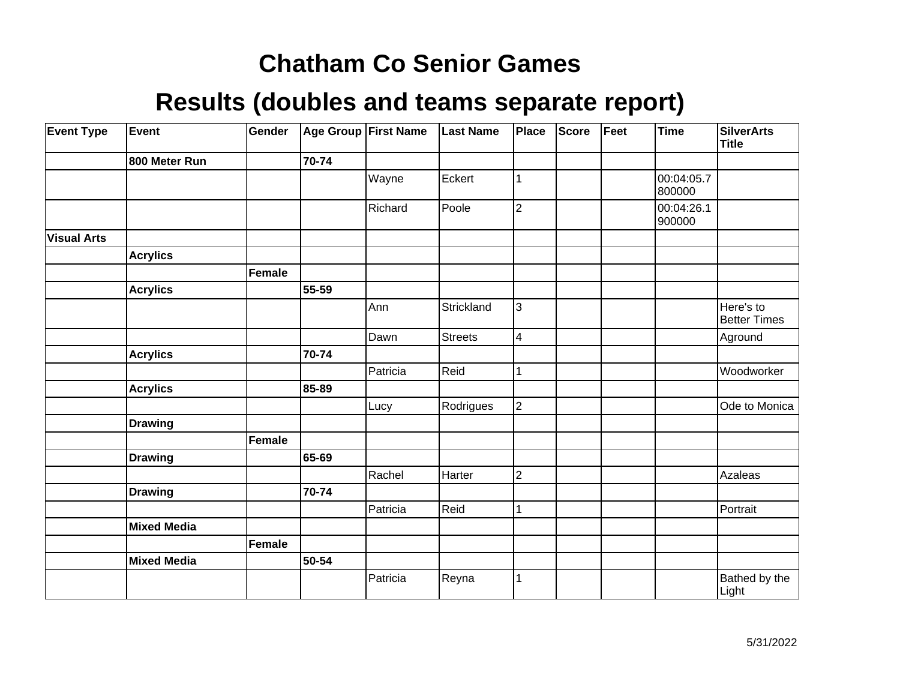| <b>Event Type</b>  | Event              | Gender        |       | <b>Age Group First Name</b> | <b>Last Name</b> | <b>Place</b>            | <b>Score</b> | Feet | <b>Time</b>          | <b>SilverArts</b><br><b>Title</b> |
|--------------------|--------------------|---------------|-------|-----------------------------|------------------|-------------------------|--------------|------|----------------------|-----------------------------------|
|                    | 800 Meter Run      |               | 70-74 |                             |                  |                         |              |      |                      |                                   |
|                    |                    |               |       | Wayne                       | Eckert           |                         |              |      | 00:04:05.7<br>800000 |                                   |
|                    |                    |               |       | Richard                     | Poole            | $\overline{2}$          |              |      | 00:04:26.1<br>900000 |                                   |
| <b>Visual Arts</b> |                    |               |       |                             |                  |                         |              |      |                      |                                   |
|                    | <b>Acrylics</b>    |               |       |                             |                  |                         |              |      |                      |                                   |
|                    |                    | <b>Female</b> |       |                             |                  |                         |              |      |                      |                                   |
|                    | <b>Acrylics</b>    |               | 55-59 |                             |                  |                         |              |      |                      |                                   |
|                    |                    |               |       | Ann                         | Strickland       | 3                       |              |      |                      | Here's to<br><b>Better Times</b>  |
|                    |                    |               |       | Dawn                        | <b>Streets</b>   | $\overline{\mathbf{4}}$ |              |      |                      | Aground                           |
|                    | <b>Acrylics</b>    |               | 70-74 |                             |                  |                         |              |      |                      |                                   |
|                    |                    |               |       | Patricia                    | Reid             |                         |              |      |                      | Woodworker                        |
|                    | <b>Acrylics</b>    |               | 85-89 |                             |                  |                         |              |      |                      |                                   |
|                    |                    |               |       | Lucy                        | Rodrigues        | $\overline{c}$          |              |      |                      | Ode to Monica                     |
|                    | <b>Drawing</b>     |               |       |                             |                  |                         |              |      |                      |                                   |
|                    |                    | <b>Female</b> |       |                             |                  |                         |              |      |                      |                                   |
|                    | <b>Drawing</b>     |               | 65-69 |                             |                  |                         |              |      |                      |                                   |
|                    |                    |               |       | Rachel                      | Harter           | $\overline{2}$          |              |      |                      | Azaleas                           |
|                    | <b>Drawing</b>     |               | 70-74 |                             |                  |                         |              |      |                      |                                   |
|                    |                    |               |       | Patricia                    | Reid             |                         |              |      |                      | Portrait                          |
|                    | <b>Mixed Media</b> |               |       |                             |                  |                         |              |      |                      |                                   |
|                    |                    | <b>Female</b> |       |                             |                  |                         |              |      |                      |                                   |
|                    | <b>Mixed Media</b> |               | 50-54 |                             |                  |                         |              |      |                      |                                   |
|                    |                    |               |       | Patricia                    | Reyna            | 1                       |              |      |                      | Bathed by the<br>Light            |